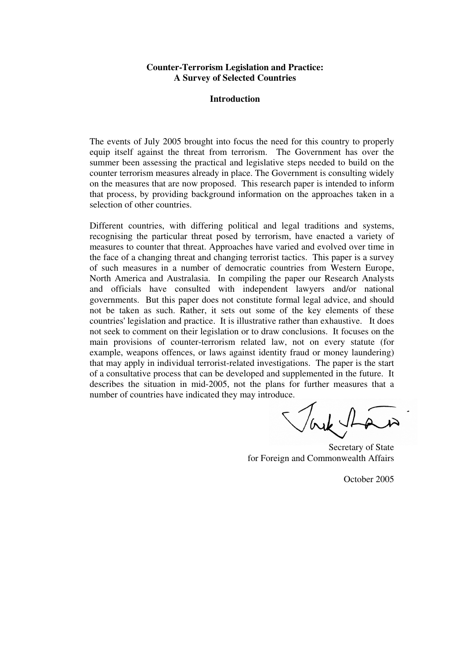#### **Counter-Terrorism Legislation and Practice: A Survey of Selected Countries**

#### **Introduction**

The events of July 2005 brought into focus the need for this country to properly equip itself against the threat from terrorism. The Government has over the summer been assessing the practical and legislative steps needed to build on the counter terrorism measures already in place. The Government is consulting widely on the measures that are now proposed. This research paper is intended to inform that process, by providing background information on the approaches taken in a selection of other countries.

Different countries, with differing political and legal traditions and systems, recognising the particular threat posed by terrorism, have enacted a variety of measures to counter that threat. Approaches have varied and evolved over time in the face of a changing threat and changing terrorist tactics. This paper is a survey of such measures in a number of democratic countries from Western Europe, North America and Australasia. In compiling the paper our Research Analysts and officials have consulted with independent lawyers and/or national governments. But this paper does not constitute formal legal advice, and should not be taken as such. Rather, it sets out some of the key elements of these countries' legislation and practice. It is illustrative rather than exhaustive. It does not seek to comment on their legislation or to draw conclusions. It focuses on the main provisions of counter-terrorism related law, not on every statute (for example, weapons offences, or laws against identity fraud or money laundering) that may apply in individual terrorist-related investigations. The paper is the start of a consultative process that can be developed and supplemented in the future. It describes the situation in mid-2005, not the plans for further measures that a number of countries have indicated they may introduce.

Touch 1

 Secretary of State for Foreign and Commonwealth Affairs

October 2005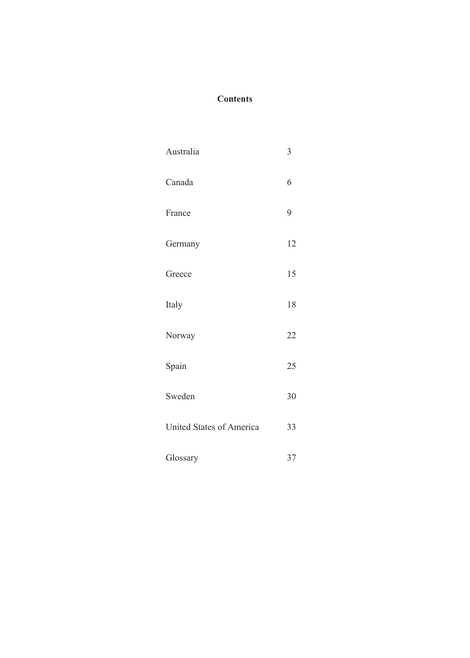# **Contents**

| Australia                | 3  |
|--------------------------|----|
| Canada                   | 6  |
| France                   | 9  |
| Germany                  | 12 |
| Greece                   | 15 |
| Italy                    | 18 |
| Norway                   | 22 |
| Spain                    | 25 |
| Sweden                   | 30 |
| United States of America | 33 |
| Glossary                 | 37 |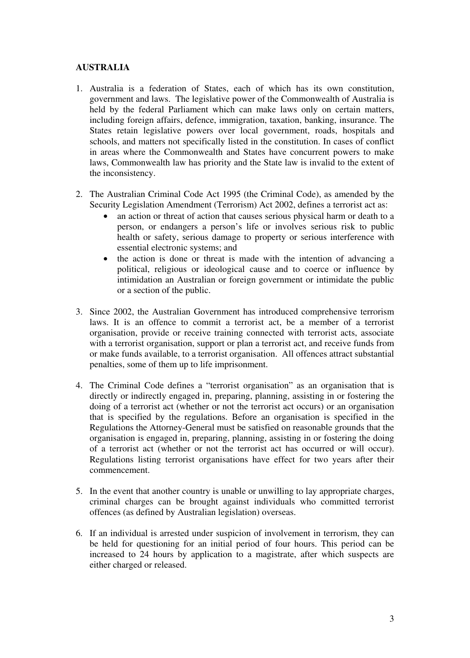## **AUSTRALIA**

- 1. Australia is a federation of States, each of which has its own constitution, government and laws. The legislative power of the Commonwealth of Australia is held by the federal Parliament which can make laws only on certain matters, including foreign affairs, defence, immigration, taxation, banking, insurance. The States retain legislative powers over local government, roads, hospitals and schools, and matters not specifically listed in the constitution. In cases of conflict in areas where the Commonwealth and States have concurrent powers to make laws, Commonwealth law has priority and the State law is invalid to the extent of the inconsistency.
- 2. The Australian Criminal Code Act 1995 (the Criminal Code), as amended by the Security Legislation Amendment (Terrorism) Act 2002, defines a terrorist act as:
	- an action or threat of action that causes serious physical harm or death to a person, or endangers a person's life or involves serious risk to public health or safety, serious damage to property or serious interference with essential electronic systems; and
	- the action is done or threat is made with the intention of advancing a political, religious or ideological cause and to coerce or influence by intimidation an Australian or foreign government or intimidate the public or a section of the public.
- 3. Since 2002, the Australian Government has introduced comprehensive terrorism laws. It is an offence to commit a terrorist act, be a member of a terrorist organisation, provide or receive training connected with terrorist acts, associate with a terrorist organisation, support or plan a terrorist act, and receive funds from or make funds available, to a terrorist organisation. All offences attract substantial penalties, some of them up to life imprisonment.
- 4. The Criminal Code defines a "terrorist organisation" as an organisation that is directly or indirectly engaged in, preparing, planning, assisting in or fostering the doing of a terrorist act (whether or not the terrorist act occurs) or an organisation that is specified by the regulations. Before an organisation is specified in the Regulations the Attorney-General must be satisfied on reasonable grounds that the organisation is engaged in, preparing, planning, assisting in or fostering the doing of a terrorist act (whether or not the terrorist act has occurred or will occur). Regulations listing terrorist organisations have effect for two years after their commencement.
- 5. In the event that another country is unable or unwilling to lay appropriate charges, criminal charges can be brought against individuals who committed terrorist offences (as defined by Australian legislation) overseas.
- 6. If an individual is arrested under suspicion of involvement in terrorism, they can be held for questioning for an initial period of four hours. This period can be increased to 24 hours by application to a magistrate, after which suspects are either charged or released.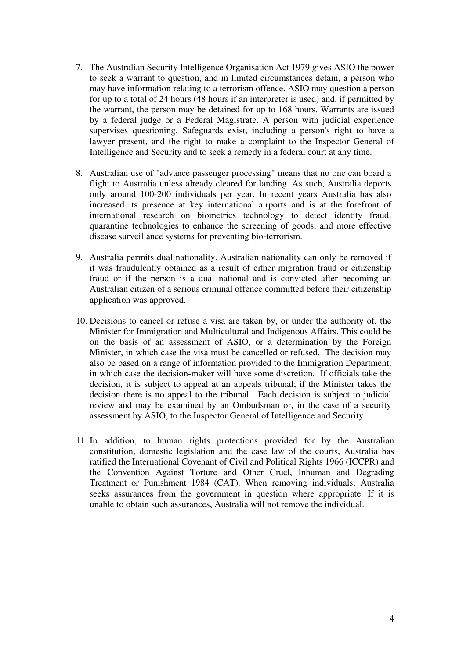- 7. The Australian Security Intelligence Organisation Act 1979 gives ASIO the power to seek a warrant to question, and in limited circumstances detain, a person who may have information relating to a terrorism offence. ASIO may question a person for up to a total of 24 hours (48 hours if an interpreter is used) and, if permitted by the warrant, the person may be detained for up to 168 hours. Warrants are issued by a federal judge or a Federal Magistrate. A person with judicial experience supervises questioning. Safeguards exist, including a person's right to have a lawyer present, and the right to make a complaint to the Inspector General of Intelligence and Security and to seek a remedy in a federal court at any time.
- 8. Australian use of "advance passenger processing" means that no one can board a flight to Australia unless already cleared for landing. As such, Australia deports only around 100-200 individuals per year. In recent years Australia has also increased its presence at key international airports and is at the forefront of international research on biometrics technology to detect identity fraud, quarantine technologies to enhance the screening of goods, and more effective disease surveillance systems for preventing bio-terrorism.
- 9. Australia permits dual nationality. Australian nationality can only be removed if it was fraudulently obtained as a result of either migration fraud or citizenship fraud or if the person is a dual national and is convicted after becoming an Australian citizen of a serious criminal offence committed before their citizenship application was approved.
- 10. Decisions to cancel or refuse a visa are taken by, or under the authority of, the Minister for Immigration and Multicultural and Indigenous Affairs. This could be on the basis of an assessment of ASIO, or a determination by the Foreign Minister, in which case the visa must be cancelled or refused. The decision may also be based on a range of information provided to the Immigration Department, in which case the decision-maker will have some discretion. If officials take the decision, it is subject to appeal at an appeals tribunal; if the Minister takes the decision there is no appeal to the tribunal. Each decision is subject to judicial review and may be examined by an Ombudsman or, in the case of a security assessment by ASIO, to the Inspector General of Intelligence and Security.
- 11. In addition, to human rights protections provided for by the Australian constitution, domestic legislation and the case law of the courts, Australia has ratified the International Covenant of Civil and Political Rights 1966 (ICCPR) and the Convention Against Torture and Other Cruel, Inhuman and Degrading Treatment or Punishment 1984 (CAT). When removing individuals, Australia seeks assurances from the government in question where appropriate. If it is unable to obtain such assurances, Australia will not remove the individual.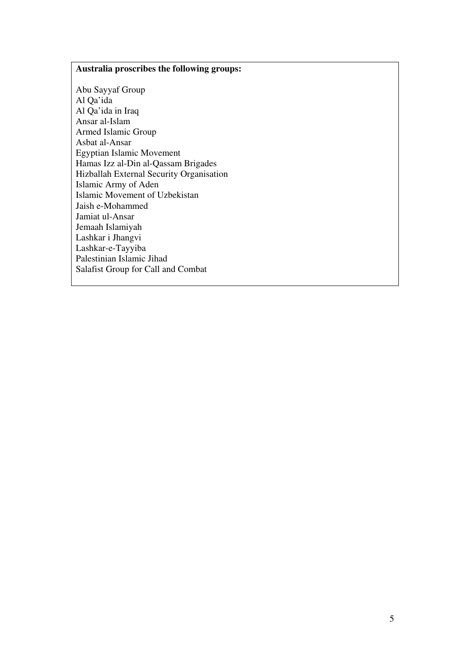## **Australia proscribes the following groups:**

Abu Sayyaf Group Al Qa'ida Al Qa'ida in Iraq Ansar al-Islam Armed Islamic Group Asbat al-Ansar Egyptian Islamic Movement Hamas Izz al-Din al-Qassam Brigades Hizballah External Security Organisation Islamic Army of Aden Islamic Movement of Uzbekistan Jaish e-Mohammed Jamiat ul-Ansar Jemaah Islamiyah Lashkar i Jhangvi Lashkar-e-Tayyiba Palestinian Islamic Jihad Salafist Group for Call and Combat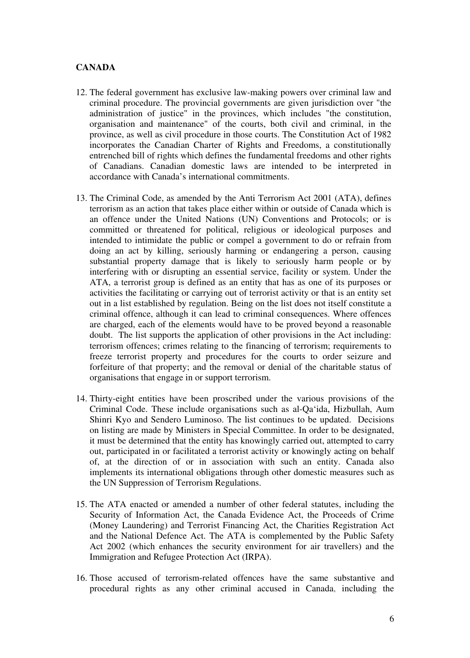## **CANADA**

- 12. The federal government has exclusive law-making powers over criminal law and criminal procedure. The provincial governments are given jurisdiction over "the administration of justice" in the provinces, which includes "the constitution, organisation and maintenance" of the courts, both civil and criminal, in the province, as well as civil procedure in those courts. The Constitution Act of 1982 incorporates the Canadian Charter of Rights and Freedoms, a constitutionally entrenched bill of rights which defines the fundamental freedoms and other rights of Canadians. Canadian domestic laws are intended to be interpreted in accordance with Canada's international commitments.
- 13. The Criminal Code, as amended by the Anti Terrorism Act 2001 (ATA), defines terrorism as an action that takes place either within or outside of Canada which is an offence under the United Nations (UN) Conventions and Protocols; or is committed or threatened for political, religious or ideological purposes and intended to intimidate the public or compel a government to do or refrain from doing an act by killing, seriously harming or endangering a person, causing substantial property damage that is likely to seriously harm people or by interfering with or disrupting an essential service, facility or system. Under the ATA, a terrorist group is defined as an entity that has as one of its purposes or activities the facilitating or carrying out of terrorist activity or that is an entity set out in a list established by regulation. Being on the list does not itself constitute a criminal offence, although it can lead to criminal consequences. Where offences are charged, each of the elements would have to be proved beyond a reasonable doubt. The list supports the application of other provisions in the Act including: terrorism offences; crimes relating to the financing of terrorism; requirements to freeze terrorist property and procedures for the courts to order seizure and forfeiture of that property; and the removal or denial of the charitable status of organisations that engage in or support terrorism.
- 14. Thirty-eight entities have been proscribed under the various provisions of the Criminal Code. These include organisations such as al-Qa'ida, Hizbullah, Aum Shinri Kyo and Sendero Luminoso. The list continues to be updated. Decisions on listing are made by Ministers in Special Committee. In order to be designated, it must be determined that the entity has knowingly carried out, attempted to carry out, participated in or facilitated a terrorist activity or knowingly acting on behalf of, at the direction of or in association with such an entity. Canada also implements its international obligations through other domestic measures such as the UN Suppression of Terrorism Regulations.
- 15. The ATA enacted or amended a number of other federal statutes, including the Security of Information Act, the Canada Evidence Act, the Proceeds of Crime (Money Laundering) and Terrorist Financing Act, the Charities Registration Act and the National Defence Act. The ATA is complemented by the Public Safety Act 2002 (which enhances the security environment for air travellers) and the Immigration and Refugee Protection Act (IRPA).
- 16. Those accused of terrorism-related offences have the same substantive and procedural rights as any other criminal accused in Canada, including the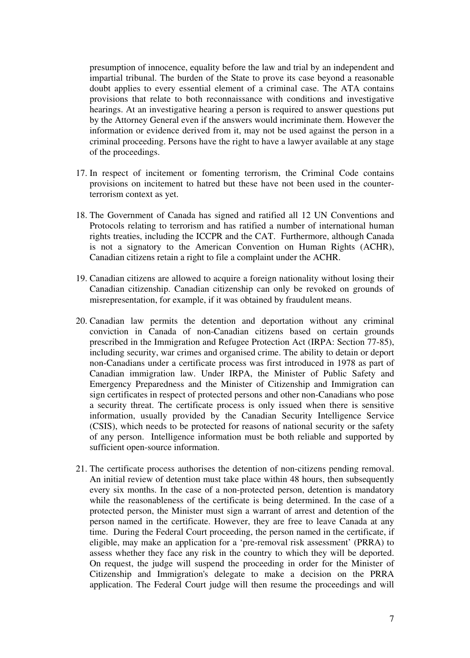presumption of innocence, equality before the law and trial by an independent and impartial tribunal. The burden of the State to prove its case beyond a reasonable doubt applies to every essential element of a criminal case. The ATA contains provisions that relate to both reconnaissance with conditions and investigative hearings. At an investigative hearing a person is required to answer questions put by the Attorney General even if the answers would incriminate them. However the information or evidence derived from it, may not be used against the person in a criminal proceeding. Persons have the right to have a lawyer available at any stage of the proceedings.

- 17. In respect of incitement or fomenting terrorism, the Criminal Code contains provisions on incitement to hatred but these have not been used in the counterterrorism context as yet.
- 18. The Government of Canada has signed and ratified all 12 UN Conventions and Protocols relating to terrorism and has ratified a number of international human rights treaties, including the ICCPR and the CAT. Furthermore, although Canada is not a signatory to the American Convention on Human Rights (ACHR), Canadian citizens retain a right to file a complaint under the ACHR.
- 19. Canadian citizens are allowed to acquire a foreign nationality without losing their Canadian citizenship. Canadian citizenship can only be revoked on grounds of misrepresentation, for example, if it was obtained by fraudulent means.
- 20. Canadian law permits the detention and deportation without any criminal conviction in Canada of non-Canadian citizens based on certain grounds prescribed in the Immigration and Refugee Protection Act (IRPA: Section 77-85), including security, war crimes and organised crime. The ability to detain or deport non-Canadians under a certificate process was first introduced in 1978 as part of Canadian immigration law. Under IRPA, the Minister of Public Safety and Emergency Preparedness and the Minister of Citizenship and Immigration can sign certificates in respect of protected persons and other non-Canadians who pose a security threat. The certificate process is only issued when there is sensitive information, usually provided by the Canadian Security Intelligence Service (CSIS), which needs to be protected for reasons of national security or the safety of any person. Intelligence information must be both reliable and supported by sufficient open-source information.
- 21. The certificate process authorises the detention of non-citizens pending removal. An initial review of detention must take place within 48 hours, then subsequently every six months. In the case of a non-protected person, detention is mandatory while the reasonableness of the certificate is being determined. In the case of a protected person, the Minister must sign a warrant of arrest and detention of the person named in the certificate. However, they are free to leave Canada at any time. During the Federal Court proceeding, the person named in the certificate, if eligible, may make an application for a 'pre-removal risk assessment' (PRRA) to assess whether they face any risk in the country to which they will be deported. On request, the judge will suspend the proceeding in order for the Minister of Citizenship and Immigration's delegate to make a decision on the PRRA application. The Federal Court judge will then resume the proceedings and will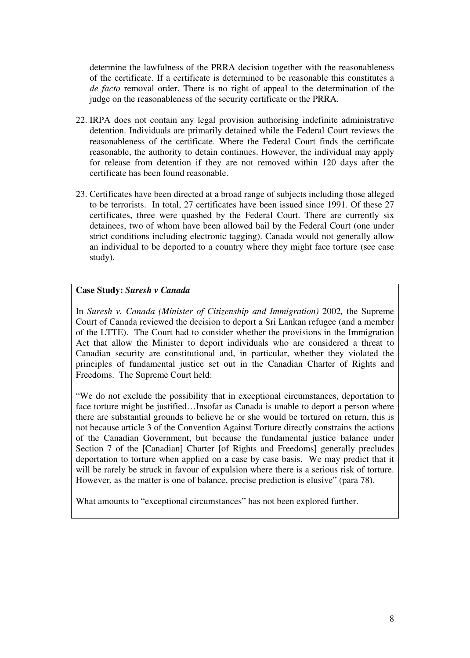determine the lawfulness of the PRRA decision together with the reasonableness of the certificate. If a certificate is determined to be reasonable this constitutes a *de facto* removal order. There is no right of appeal to the determination of the judge on the reasonableness of the security certificate or the PRRA.

- 22. IRPA does not contain any legal provision authorising indefinite administrative detention. Individuals are primarily detained while the Federal Court reviews the reasonableness of the certificate. Where the Federal Court finds the certificate reasonable, the authority to detain continues. However, the individual may apply for release from detention if they are not removed within 120 days after the certificate has been found reasonable.
- 23. Certificates have been directed at a broad range of subjects including those alleged to be terrorists. In total, 27 certificates have been issued since 1991. Of these 27 certificates, three were quashed by the Federal Court. There are currently six detainees, two of whom have been allowed bail by the Federal Court (one under strict conditions including electronic tagging). Canada would not generally allow an individual to be deported to a country where they might face torture (see case study).

### **Case Study:** *Suresh v Canada*

In *Suresh v. Canada (Minister of Citizenship and Immigration)* 2002*,* the Supreme Court of Canada reviewed the decision to deport a Sri Lankan refugee (and a member of the LTTE). The Court had to consider whether the provisions in the Immigration Act that allow the Minister to deport individuals who are considered a threat to Canadian security are constitutional and, in particular, whether they violated the principles of fundamental justice set out in the Canadian Charter of Rights and Freedoms. The Supreme Court held:

"We do not exclude the possibility that in exceptional circumstances, deportation to face torture might be justified…Insofar as Canada is unable to deport a person where there are substantial grounds to believe he or she would be tortured on return, this is not because article 3 of the Convention Against Torture directly constrains the actions of the Canadian Government, but because the fundamental justice balance under Section 7 of the [Canadian] Charter [of Rights and Freedoms] generally precludes deportation to torture when applied on a case by case basis. We may predict that it will be rarely be struck in favour of expulsion where there is a serious risk of torture. However, as the matter is one of balance, precise prediction is elusive" (para 78).

What amounts to "exceptional circumstances" has not been explored further.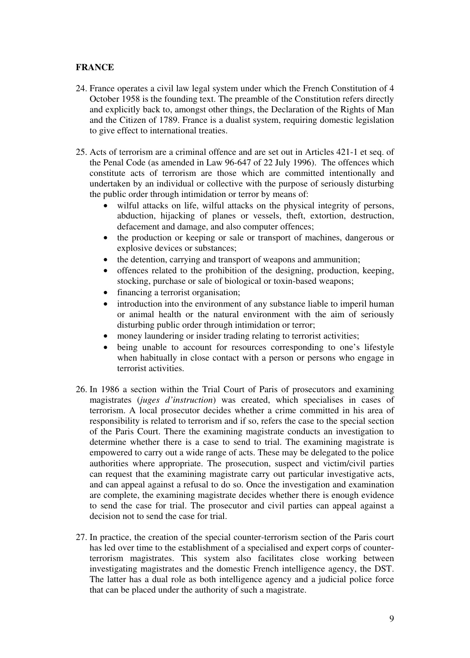## **FRANCE**

- 24. France operates a civil law legal system under which the French Constitution of 4 October 1958 is the founding text. The preamble of the Constitution refers directly and explicitly back to, amongst other things, the Declaration of the Rights of Man and the Citizen of 1789. France is a dualist system, requiring domestic legislation to give effect to international treaties.
- 25. Acts of terrorism are a criminal offence and are set out in Articles 421-1 et seq. of the Penal Code (as amended in Law 96-647 of 22 July 1996). The offences which constitute acts of terrorism are those which are committed intentionally and undertaken by an individual or collective with the purpose of seriously disturbing the public order through intimidation or terror by means of:
	- wilful attacks on life, wilful attacks on the physical integrity of persons, abduction, hijacking of planes or vessels, theft, extortion, destruction, defacement and damage, and also computer offences;
	- the production or keeping or sale or transport of machines, dangerous or explosive devices or substances;
	- the detention, carrying and transport of weapons and ammunition;
	- offences related to the prohibition of the designing, production, keeping, stocking, purchase or sale of biological or toxin-based weapons;
	- financing a terrorist organisation;
	- introduction into the environment of any substance liable to imperil human or animal health or the natural environment with the aim of seriously disturbing public order through intimidation or terror;
	- money laundering or insider trading relating to terrorist activities;
	- being unable to account for resources corresponding to one's lifestyle when habitually in close contact with a person or persons who engage in terrorist activities.
- 26. In 1986 a section within the Trial Court of Paris of prosecutors and examining magistrates (*juges d'instruction*) was created, which specialises in cases of terrorism. A local prosecutor decides whether a crime committed in his area of responsibility is related to terrorism and if so, refers the case to the special section of the Paris Court. There the examining magistrate conducts an investigation to determine whether there is a case to send to trial. The examining magistrate is empowered to carry out a wide range of acts. These may be delegated to the police authorities where appropriate. The prosecution, suspect and victim/civil parties can request that the examining magistrate carry out particular investigative acts, and can appeal against a refusal to do so. Once the investigation and examination are complete, the examining magistrate decides whether there is enough evidence to send the case for trial. The prosecutor and civil parties can appeal against a decision not to send the case for trial.
- 27. In practice, the creation of the special counter-terrorism section of the Paris court has led over time to the establishment of a specialised and expert corps of counterterrorism magistrates. This system also facilitates close working between investigating magistrates and the domestic French intelligence agency, the DST. The latter has a dual role as both intelligence agency and a judicial police force that can be placed under the authority of such a magistrate.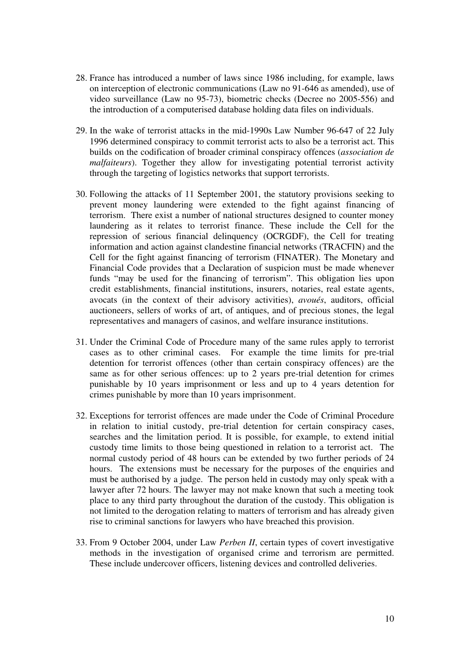- 28. France has introduced a number of laws since 1986 including, for example, laws on interception of electronic communications (Law no 91-646 as amended), use of video surveillance (Law no 95-73), biometric checks (Decree no 2005-556) and the introduction of a computerised database holding data files on individuals.
- 29. In the wake of terrorist attacks in the mid-1990s Law Number 96-647 of 22 July 1996 determined conspiracy to commit terrorist acts to also be a terrorist act. This builds on the codification of broader criminal conspiracy offences (*association de malfaiteurs*). Together they allow for investigating potential terrorist activity through the targeting of logistics networks that support terrorists.
- 30. Following the attacks of 11 September 2001, the statutory provisions seeking to prevent money laundering were extended to the fight against financing of terrorism. There exist a number of national structures designed to counter money laundering as it relates to terrorist finance. These include the Cell for the repression of serious financial delinquency (OCRGDF), the Cell for treating information and action against clandestine financial networks (TRACFIN) and the Cell for the fight against financing of terrorism (FINATER). The Monetary and Financial Code provides that a Declaration of suspicion must be made whenever funds "may be used for the financing of terrorism". This obligation lies upon credit establishments, financial institutions, insurers, notaries, real estate agents, avocats (in the context of their advisory activities), *avoués*, auditors, official auctioneers, sellers of works of art, of antiques, and of precious stones, the legal representatives and managers of casinos, and welfare insurance institutions.
- 31. Under the Criminal Code of Procedure many of the same rules apply to terrorist cases as to other criminal cases. For example the time limits for pre-trial detention for terrorist offences (other than certain conspiracy offences) are the same as for other serious offences: up to 2 years pre-trial detention for crimes punishable by 10 years imprisonment or less and up to 4 years detention for crimes punishable by more than 10 years imprisonment.
- 32. Exceptions for terrorist offences are made under the Code of Criminal Procedure in relation to initial custody, pre-trial detention for certain conspiracy cases, searches and the limitation period. It is possible, for example, to extend initial custody time limits to those being questioned in relation to a terrorist act. The normal custody period of 48 hours can be extended by two further periods of 24 hours. The extensions must be necessary for the purposes of the enquiries and must be authorised by a judge. The person held in custody may only speak with a lawyer after 72 hours. The lawyer may not make known that such a meeting took place to any third party throughout the duration of the custody. This obligation is not limited to the derogation relating to matters of terrorism and has already given rise to criminal sanctions for lawyers who have breached this provision.
- 33. From 9 October 2004, under Law *Perben II*, certain types of covert investigative methods in the investigation of organised crime and terrorism are permitted. These include undercover officers, listening devices and controlled deliveries.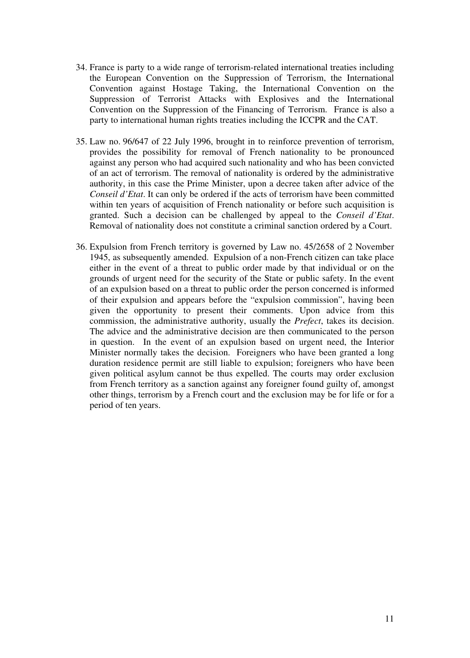- 34. France is party to a wide range of terrorism-related international treaties including the European Convention on the Suppression of Terrorism, the International Convention against Hostage Taking, the International Convention on the Suppression of Terrorist Attacks with Explosives and the International Convention on the Suppression of the Financing of Terrorism. France is also a party to international human rights treaties including the ICCPR and the CAT.
- 35. Law no. 96/647 of 22 July 1996, brought in to reinforce prevention of terrorism, provides the possibility for removal of French nationality to be pronounced against any person who had acquired such nationality and who has been convicted of an act of terrorism. The removal of nationality is ordered by the administrative authority, in this case the Prime Minister, upon a decree taken after advice of the *Conseil d'Etat*. It can only be ordered if the acts of terrorism have been committed within ten years of acquisition of French nationality or before such acquisition is granted. Such a decision can be challenged by appeal to the *Conseil d'Etat*. Removal of nationality does not constitute a criminal sanction ordered by a Court.
- 36. Expulsion from French territory is governed by Law no. 45/2658 of 2 November 1945, as subsequently amended. Expulsion of a non-French citizen can take place either in the event of a threat to public order made by that individual or on the grounds of urgent need for the security of the State or public safety. In the event of an expulsion based on a threat to public order the person concerned is informed of their expulsion and appears before the "expulsion commission", having been given the opportunity to present their comments. Upon advice from this commission, the administrative authority, usually the *Prefect*, takes its decision. The advice and the administrative decision are then communicated to the person in question. In the event of an expulsion based on urgent need, the Interior Minister normally takes the decision. Foreigners who have been granted a long duration residence permit are still liable to expulsion; foreigners who have been given political asylum cannot be thus expelled. The courts may order exclusion from French territory as a sanction against any foreigner found guilty of, amongst other things, terrorism by a French court and the exclusion may be for life or for a period of ten years.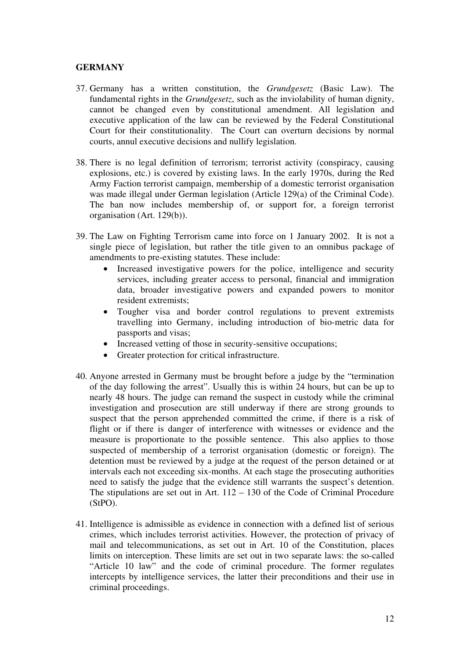### **GERMANY**

- 37. Germany has a written constitution, the *Grundgesetz* (Basic Law). The fundamental rights in the *Grundgesetz*, such as the inviolability of human dignity, cannot be changed even by constitutional amendment. All legislation and executive application of the law can be reviewed by the Federal Constitutional Court for their constitutionality. The Court can overturn decisions by normal courts, annul executive decisions and nullify legislation.
- 38. There is no legal definition of terrorism; terrorist activity (conspiracy, causing explosions, etc.) is covered by existing laws. In the early 1970s, during the Red Army Faction terrorist campaign, membership of a domestic terrorist organisation was made illegal under German legislation (Article 129(a) of the Criminal Code). The ban now includes membership of, or support for, a foreign terrorist organisation (Art. 129(b)).
- 39. The Law on Fighting Terrorism came into force on 1 January 2002. It is not a single piece of legislation, but rather the title given to an omnibus package of amendments to pre-existing statutes. These include:
	- Increased investigative powers for the police, intelligence and security services, including greater access to personal, financial and immigration data, broader investigative powers and expanded powers to monitor resident extremists;
	- Tougher visa and border control regulations to prevent extremists travelling into Germany, including introduction of bio-metric data for passports and visas;
	- Increased vetting of those in security-sensitive occupations;
	- Greater protection for critical infrastructure.
- 40. Anyone arrested in Germany must be brought before a judge by the "termination of the day following the arrest". Usually this is within 24 hours, but can be up to nearly 48 hours. The judge can remand the suspect in custody while the criminal investigation and prosecution are still underway if there are strong grounds to suspect that the person apprehended committed the crime, if there is a risk of flight or if there is danger of interference with witnesses or evidence and the measure is proportionate to the possible sentence. This also applies to those suspected of membership of a terrorist organisation (domestic or foreign). The detention must be reviewed by a judge at the request of the person detained or at intervals each not exceeding six-months. At each stage the prosecuting authorities need to satisfy the judge that the evidence still warrants the suspect's detention. The stipulations are set out in Art. 112 – 130 of the Code of Criminal Procedure (StPO).
- 41. Intelligence is admissible as evidence in connection with a defined list of serious crimes, which includes terrorist activities. However, the protection of privacy of mail and telecommunications, as set out in Art. 10 of the Constitution, places limits on interception. These limits are set out in two separate laws: the so-called "Article 10 law" and the code of criminal procedure. The former regulates intercepts by intelligence services, the latter their preconditions and their use in criminal proceedings.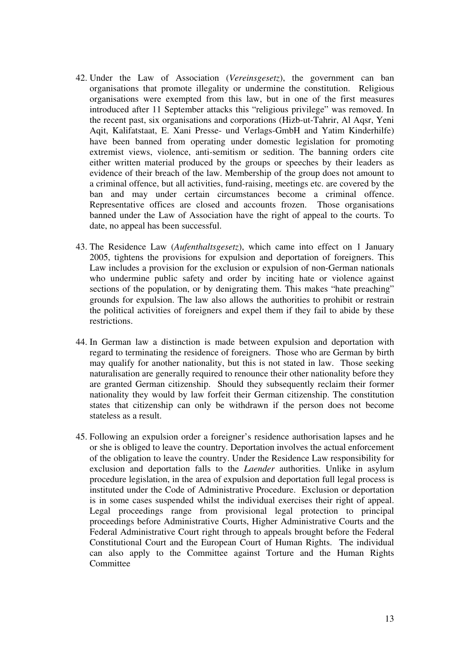- 42. Under the Law of Association (*Vereinsgesetz*), the government can ban organisations that promote illegality or undermine the constitution. Religious organisations were exempted from this law, but in one of the first measures introduced after 11 September attacks this "religious privilege" was removed. In the recent past, six organisations and corporations (Hizb-ut-Tahrir, Al Aqsr, Yeni Aqit, Kalifatstaat, E. Xani Presse- und Verlags-GmbH and Yatim Kinderhilfe) have been banned from operating under domestic legislation for promoting extremist views, violence, anti-semitism or sedition. The banning orders cite either written material produced by the groups or speeches by their leaders as evidence of their breach of the law. Membership of the group does not amount to a criminal offence, but all activities, fund-raising, meetings etc. are covered by the ban and may under certain circumstances become a criminal offence. Representative offices are closed and accounts frozen. Those organisations banned under the Law of Association have the right of appeal to the courts. To date, no appeal has been successful.
- 43. The Residence Law (*Aufenthaltsgesetz*), which came into effect on 1 January 2005, tightens the provisions for expulsion and deportation of foreigners. This Law includes a provision for the exclusion or expulsion of non-German nationals who undermine public safety and order by inciting hate or violence against sections of the population, or by denigrating them. This makes "hate preaching" grounds for expulsion. The law also allows the authorities to prohibit or restrain the political activities of foreigners and expel them if they fail to abide by these restrictions.
- 44. In German law a distinction is made between expulsion and deportation with regard to terminating the residence of foreigners. Those who are German by birth may qualify for another nationality, but this is not stated in law. Those seeking naturalisation are generally required to renounce their other nationality before they are granted German citizenship. Should they subsequently reclaim their former nationality they would by law forfeit their German citizenship. The constitution states that citizenship can only be withdrawn if the person does not become stateless as a result.
- 45. Following an expulsion order a foreigner's residence authorisation lapses and he or she is obliged to leave the country. Deportation involves the actual enforcement of the obligation to leave the country. Under the Residence Law responsibility for exclusion and deportation falls to the *Laender* authorities. Unlike in asylum procedure legislation, in the area of expulsion and deportation full legal process is instituted under the Code of Administrative Procedure. Exclusion or deportation is in some cases suspended whilst the individual exercises their right of appeal. Legal proceedings range from provisional legal protection to principal proceedings before Administrative Courts, Higher Administrative Courts and the Federal Administrative Court right through to appeals brought before the Federal Constitutional Court and the European Court of Human Rights. The individual can also apply to the Committee against Torture and the Human Rights **Committee**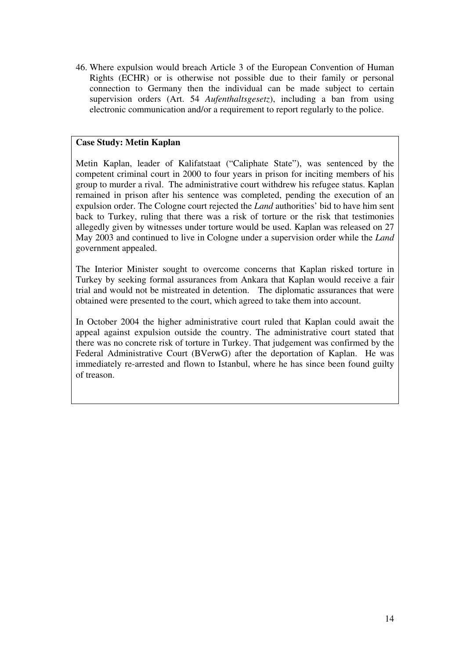46. Where expulsion would breach Article 3 of the European Convention of Human Rights (ECHR) or is otherwise not possible due to their family or personal connection to Germany then the individual can be made subject to certain supervision orders (Art. 54 *Aufenthaltsgesetz*), including a ban from using electronic communication and/or a requirement to report regularly to the police.

### **Case Study: Metin Kaplan**

Metin Kaplan, leader of Kalifatstaat ("Caliphate State"), was sentenced by the competent criminal court in 2000 to four years in prison for inciting members of his group to murder a rival. The administrative court withdrew his refugee status. Kaplan remained in prison after his sentence was completed, pending the execution of an expulsion order. The Cologne court rejected the *Land* authorities' bid to have him sent back to Turkey, ruling that there was a risk of torture or the risk that testimonies allegedly given by witnesses under torture would be used. Kaplan was released on 27 May 2003 and continued to live in Cologne under a supervision order while the *Land* government appealed.

The Interior Minister sought to overcome concerns that Kaplan risked torture in Turkey by seeking formal assurances from Ankara that Kaplan would receive a fair trial and would not be mistreated in detention. The diplomatic assurances that were obtained were presented to the court, which agreed to take them into account.

In October 2004 the higher administrative court ruled that Kaplan could await the appeal against expulsion outside the country. The administrative court stated that there was no concrete risk of torture in Turkey. That judgement was confirmed by the Federal Administrative Court (BVerwG) after the deportation of Kaplan. He was immediately re-arrested and flown to Istanbul, where he has since been found guilty of treason.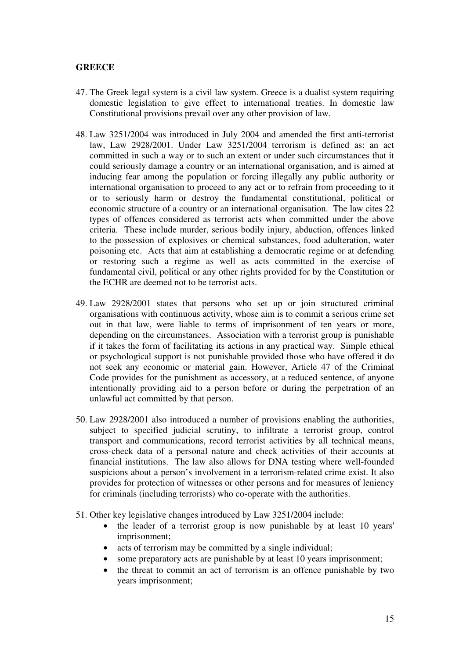## **GREECE**

- 47. The Greek legal system is a civil law system. Greece is a dualist system requiring domestic legislation to give effect to international treaties. In domestic law Constitutional provisions prevail over any other provision of law.
- 48. Law 3251/2004 was introduced in July 2004 and amended the first anti-terrorist law, Law 2928/2001. Under Law 3251/2004 terrorism is defined as: an act committed in such a way or to such an extent or under such circumstances that it could seriously damage a country or an international organisation, and is aimed at inducing fear among the population or forcing illegally any public authority or international organisation to proceed to any act or to refrain from proceeding to it or to seriously harm or destroy the fundamental constitutional, political or economic structure of a country or an international organisation. The law cites 22 types of offences considered as terrorist acts when committed under the above criteria. These include murder, serious bodily injury, abduction, offences linked to the possession of explosives or chemical substances, food adulteration, water poisoning etc. Acts that aim at establishing a democratic regime or at defending or restoring such a regime as well as acts committed in the exercise of fundamental civil, political or any other rights provided for by the Constitution or the ECHR are deemed not to be terrorist acts.
- 49. Law 2928/2001 states that persons who set up or join structured criminal organisations with continuous activity, whose aim is to commit a serious crime set out in that law, were liable to terms of imprisonment of ten years or more, depending on the circumstances. Association with a terrorist group is punishable if it takes the form of facilitating its actions in any practical way. Simple ethical or psychological support is not punishable provided those who have offered it do not seek any economic or material gain. However, Article 47 of the Criminal Code provides for the punishment as accessory, at a reduced sentence, of anyone intentionally providing aid to a person before or during the perpetration of an unlawful act committed by that person.
- 50. Law 2928/2001 also introduced a number of provisions enabling the authorities, subject to specified judicial scrutiny, to infiltrate a terrorist group, control transport and communications, record terrorist activities by all technical means, cross-check data of a personal nature and check activities of their accounts at financial institutions. The law also allows for DNA testing where well-founded suspicions about a person's involvement in a terrorism-related crime exist. It also provides for protection of witnesses or other persons and for measures of leniency for criminals (including terrorists) who co-operate with the authorities.
- 51. Other key legislative changes introduced by Law 3251/2004 include:
	- the leader of a terrorist group is now punishable by at least 10 years' imprisonment;
	- acts of terrorism may be committed by a single individual;
	- some preparatory acts are punishable by at least 10 years imprisonment;
	- the threat to commit an act of terrorism is an offence punishable by two years imprisonment;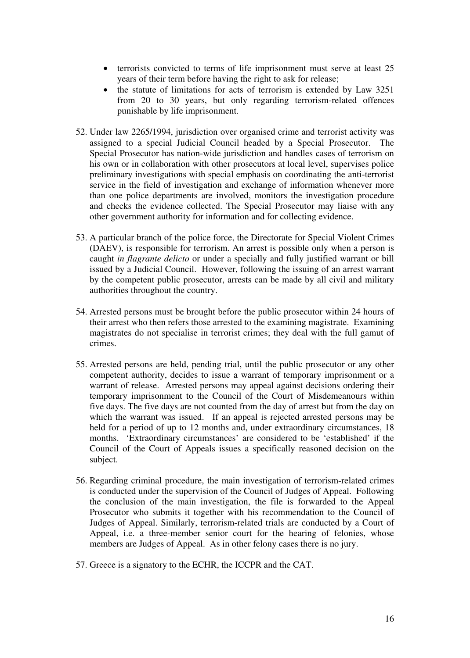- terrorists convicted to terms of life imprisonment must serve at least 25 years of their term before having the right to ask for release;
- the statute of limitations for acts of terrorism is extended by Law 3251 from 20 to 30 years, but only regarding terrorism-related offences punishable by life imprisonment.
- 52. Under law 2265/1994, jurisdiction over organised crime and terrorist activity was assigned to a special Judicial Council headed by a Special Prosecutor. The Special Prosecutor has nation-wide jurisdiction and handles cases of terrorism on his own or in collaboration with other prosecutors at local level, supervises police preliminary investigations with special emphasis on coordinating the anti-terrorist service in the field of investigation and exchange of information whenever more than one police departments are involved, monitors the investigation procedure and checks the evidence collected. The Special Prosecutor may liaise with any other government authority for information and for collecting evidence.
- 53. A particular branch of the police force, the Directorate for Special Violent Crimes (DAEV), is responsible for terrorism. An arrest is possible only when a person is caught *in flagrante delicto* or under a specially and fully justified warrant or bill issued by a Judicial Council. However, following the issuing of an arrest warrant by the competent public prosecutor, arrests can be made by all civil and military authorities throughout the country.
- 54. Arrested persons must be brought before the public prosecutor within 24 hours of their arrest who then refers those arrested to the examining magistrate. Examining magistrates do not specialise in terrorist crimes; they deal with the full gamut of crimes.
- 55. Arrested persons are held, pending trial, until the public prosecutor or any other competent authority, decides to issue a warrant of temporary imprisonment or a warrant of release. Arrested persons may appeal against decisions ordering their temporary imprisonment to the Council of the Court of Misdemeanours within five days. The five days are not counted from the day of arrest but from the day on which the warrant was issued. If an appeal is rejected arrested persons may be held for a period of up to 12 months and, under extraordinary circumstances, 18 months. 'Extraordinary circumstances' are considered to be 'established' if the Council of the Court of Appeals issues a specifically reasoned decision on the subject.
- 56. Regarding criminal procedure, the main investigation of terrorism-related crimes is conducted under the supervision of the Council of Judges of Appeal. Following the conclusion of the main investigation, the file is forwarded to the Appeal Prosecutor who submits it together with his recommendation to the Council of Judges of Appeal. Similarly, terrorism-related trials are conducted by a Court of Appeal, i.e. a three-member senior court for the hearing of felonies, whose members are Judges of Appeal. As in other felony cases there is no jury.
- 57. Greece is a signatory to the ECHR, the ICCPR and the CAT.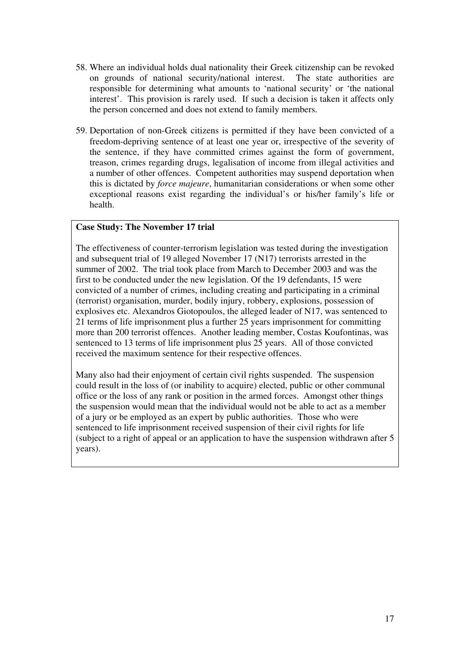- 58. Where an individual holds dual nationality their Greek citizenship can be revoked on grounds of national security/national interest. The state authorities are responsible for determining what amounts to 'national security' or 'the national interest'. This provision is rarely used. If such a decision is taken it affects only the person concerned and does not extend to family members.
- 59. Deportation of non-Greek citizens is permitted if they have been convicted of a freedom-depriving sentence of at least one year or, irrespective of the severity of the sentence, if they have committed crimes against the form of government, treason, crimes regarding drugs, legalisation of income from illegal activities and a number of other offences. Competent authorities may suspend deportation when this is dictated by *force majeure*, humanitarian considerations or when some other exceptional reasons exist regarding the individual's or his/her family's life or health.

### **Case Study: The November 17 trial**

The effectiveness of counter-terrorism legislation was tested during the investigation and subsequent trial of 19 alleged November 17 (N17) terrorists arrested in the summer of 2002. The trial took place from March to December 2003 and was the first to be conducted under the new legislation. Of the 19 defendants, 15 were convicted of a number of crimes, including creating and participating in a criminal (terrorist) organisation, murder, bodily injury, robbery, explosions, possession of explosives etc. Alexandros Giotopoulos, the alleged leader of N17, was sentenced to 21 terms of life imprisonment plus a further 25 years imprisonment for committing more than 200 terrorist offences. Another leading member, Costas Koufontinas, was sentenced to 13 terms of life imprisonment plus 25 years. All of those convicted received the maximum sentence for their respective offences.

Many also had their enjoyment of certain civil rights suspended. The suspension could result in the loss of (or inability to acquire) elected, public or other communal office or the loss of any rank or position in the armed forces. Amongst other things the suspension would mean that the individual would not be able to act as a member of a jury or be employed as an expert by public authorities. Those who were sentenced to life imprisonment received suspension of their civil rights for life (subject to a right of appeal or an application to have the suspension withdrawn after 5 years).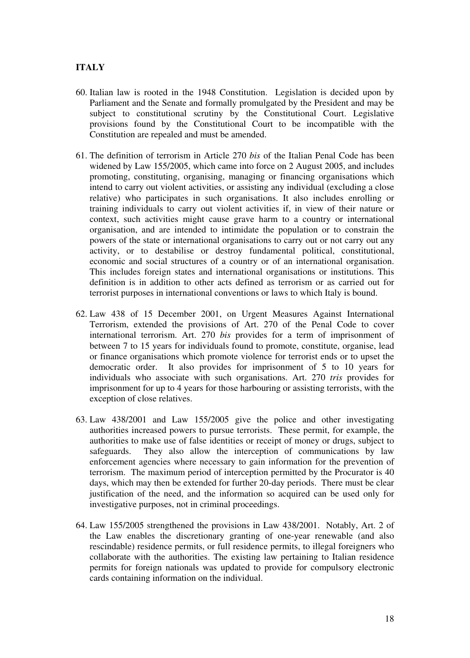## **ITALY**

- 60. Italian law is rooted in the 1948 Constitution. Legislation is decided upon by Parliament and the Senate and formally promulgated by the President and may be subject to constitutional scrutiny by the Constitutional Court. Legislative provisions found by the Constitutional Court to be incompatible with the Constitution are repealed and must be amended.
- 61. The definition of terrorism in Article 270 *bis* of the Italian Penal Code has been widened by Law 155/2005, which came into force on 2 August 2005, and includes promoting, constituting, organising, managing or financing organisations which intend to carry out violent activities, or assisting any individual (excluding a close relative) who participates in such organisations. It also includes enrolling or training individuals to carry out violent activities if, in view of their nature or context, such activities might cause grave harm to a country or international organisation, and are intended to intimidate the population or to constrain the powers of the state or international organisations to carry out or not carry out any activity, or to destabilise or destroy fundamental political, constitutional, economic and social structures of a country or of an international organisation. This includes foreign states and international organisations or institutions. This definition is in addition to other acts defined as terrorism or as carried out for terrorist purposes in international conventions or laws to which Italy is bound.
- 62. Law 438 of 15 December 2001, on Urgent Measures Against International Terrorism, extended the provisions of Art. 270 of the Penal Code to cover international terrorism. Art. 270 *bis* provides for a term of imprisonment of between 7 to 15 years for individuals found to promote, constitute, organise, lead or finance organisations which promote violence for terrorist ends or to upset the democratic order. It also provides for imprisonment of 5 to 10 years for individuals who associate with such organisations. Art. 270 *tris* provides for imprisonment for up to 4 years for those harbouring or assisting terrorists, with the exception of close relatives.
- 63. Law 438/2001 and Law 155/2005 give the police and other investigating authorities increased powers to pursue terrorists. These permit, for example, the authorities to make use of false identities or receipt of money or drugs, subject to safeguards. They also allow the interception of communications by law enforcement agencies where necessary to gain information for the prevention of terrorism. The maximum period of interception permitted by the Procurator is 40 days, which may then be extended for further 20-day periods. There must be clear justification of the need, and the information so acquired can be used only for investigative purposes, not in criminal proceedings.
- 64. Law 155/2005 strengthened the provisions in Law 438/2001. Notably, Art. 2 of the Law enables the discretionary granting of one-year renewable (and also rescindable) residence permits, or full residence permits, to illegal foreigners who collaborate with the authorities. The existing law pertaining to Italian residence permits for foreign nationals was updated to provide for compulsory electronic cards containing information on the individual.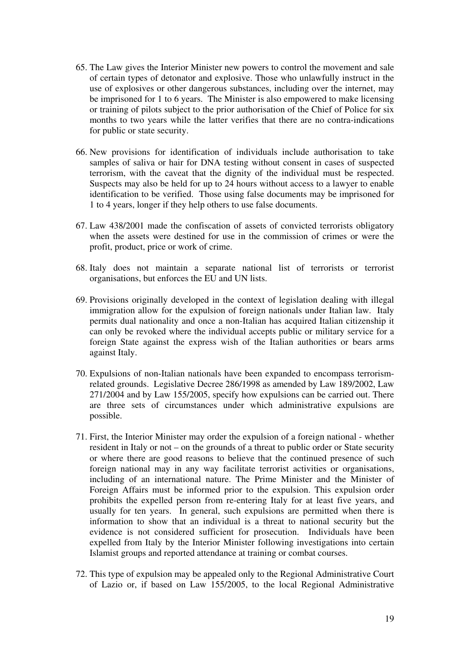- 65. The Law gives the Interior Minister new powers to control the movement and sale of certain types of detonator and explosive. Those who unlawfully instruct in the use of explosives or other dangerous substances, including over the internet, may be imprisoned for 1 to 6 years. The Minister is also empowered to make licensing or training of pilots subject to the prior authorisation of the Chief of Police for six months to two years while the latter verifies that there are no contra-indications for public or state security.
- 66. New provisions for identification of individuals include authorisation to take samples of saliva or hair for DNA testing without consent in cases of suspected terrorism, with the caveat that the dignity of the individual must be respected. Suspects may also be held for up to 24 hours without access to a lawyer to enable identification to be verified. Those using false documents may be imprisoned for 1 to 4 years, longer if they help others to use false documents.
- 67. Law 438/2001 made the confiscation of assets of convicted terrorists obligatory when the assets were destined for use in the commission of crimes or were the profit, product, price or work of crime.
- 68. Italy does not maintain a separate national list of terrorists or terrorist organisations, but enforces the EU and UN lists.
- 69. Provisions originally developed in the context of legislation dealing with illegal immigration allow for the expulsion of foreign nationals under Italian law. Italy permits dual nationality and once a non-Italian has acquired Italian citizenship it can only be revoked where the individual accepts public or military service for a foreign State against the express wish of the Italian authorities or bears arms against Italy.
- 70. Expulsions of non-Italian nationals have been expanded to encompass terrorismrelated grounds. Legislative Decree 286/1998 as amended by Law 189/2002, Law 271/2004 and by Law 155/2005, specify how expulsions can be carried out. There are three sets of circumstances under which administrative expulsions are possible.
- 71. First, the Interior Minister may order the expulsion of a foreign national whether resident in Italy or not – on the grounds of a threat to public order or State security or where there are good reasons to believe that the continued presence of such foreign national may in any way facilitate terrorist activities or organisations, including of an international nature. The Prime Minister and the Minister of Foreign Affairs must be informed prior to the expulsion. This expulsion order prohibits the expelled person from re-entering Italy for at least five years, and usually for ten years. In general, such expulsions are permitted when there is information to show that an individual is a threat to national security but the evidence is not considered sufficient for prosecution. Individuals have been expelled from Italy by the Interior Minister following investigations into certain Islamist groups and reported attendance at training or combat courses.
- 72. This type of expulsion may be appealed only to the Regional Administrative Court of Lazio or, if based on Law 155/2005, to the local Regional Administrative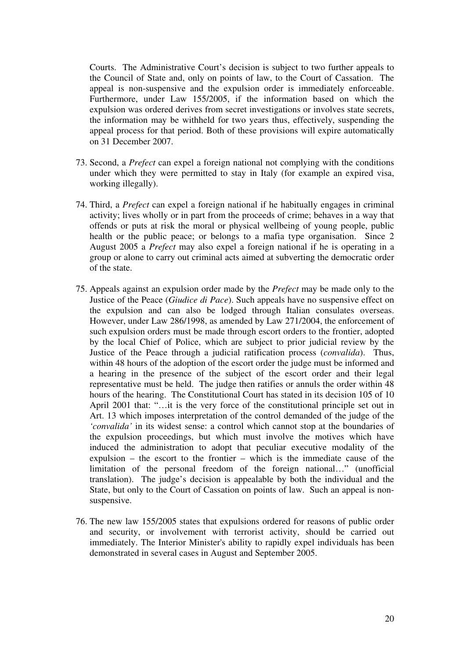Courts. The Administrative Court's decision is subject to two further appeals to the Council of State and, only on points of law, to the Court of Cassation. The appeal is non-suspensive and the expulsion order is immediately enforceable. Furthermore, under Law 155/2005, if the information based on which the expulsion was ordered derives from secret investigations or involves state secrets, the information may be withheld for two years thus, effectively, suspending the appeal process for that period. Both of these provisions will expire automatically on 31 December 2007.

- 73. Second, a *Prefect* can expel a foreign national not complying with the conditions under which they were permitted to stay in Italy (for example an expired visa, working illegally).
- 74. Third, a *Prefect* can expel a foreign national if he habitually engages in criminal activity; lives wholly or in part from the proceeds of crime; behaves in a way that offends or puts at risk the moral or physical wellbeing of young people, public health or the public peace; or belongs to a mafia type organisation. Since 2 August 2005 a *Prefect* may also expel a foreign national if he is operating in a group or alone to carry out criminal acts aimed at subverting the democratic order of the state.
- 75. Appeals against an expulsion order made by the *Prefect* may be made only to the Justice of the Peace (*Giudice di Pace*). Such appeals have no suspensive effect on the expulsion and can also be lodged through Italian consulates overseas. However, under Law 286/1998, as amended by Law 271/2004, the enforcement of such expulsion orders must be made through escort orders to the frontier, adopted by the local Chief of Police, which are subject to prior judicial review by the Justice of the Peace through a judicial ratification process (*convalida*). Thus, within 48 hours of the adoption of the escort order the judge must be informed and a hearing in the presence of the subject of the escort order and their legal representative must be held. The judge then ratifies or annuls the order within 48 hours of the hearing. The Constitutional Court has stated in its decision 105 of 10 April 2001 that: "…it is the very force of the constitutional principle set out in Art. 13 which imposes interpretation of the control demanded of the judge of the *'convalida'* in its widest sense: a control which cannot stop at the boundaries of the expulsion proceedings, but which must involve the motives which have induced the administration to adopt that peculiar executive modality of the expulsion – the escort to the frontier – which is the immediate cause of the limitation of the personal freedom of the foreign national…" (unofficial translation). The judge's decision is appealable by both the individual and the State, but only to the Court of Cassation on points of law. Such an appeal is nonsuspensive.
- 76. The new law 155/2005 states that expulsions ordered for reasons of public order and security, or involvement with terrorist activity, should be carried out immediately. The Interior Minister's ability to rapidly expel individuals has been demonstrated in several cases in August and September 2005.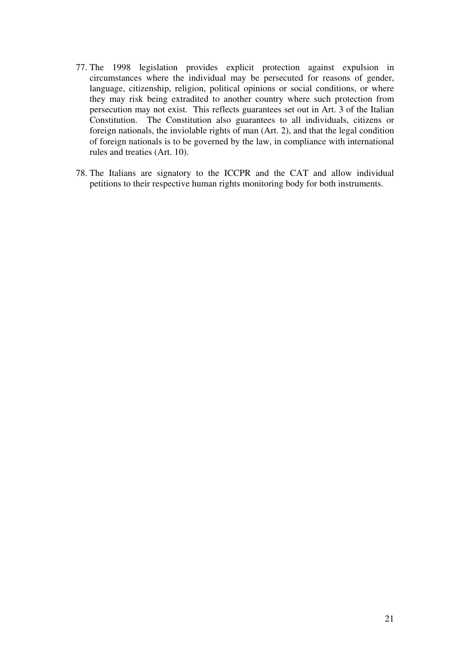- 77. The 1998 legislation provides explicit protection against expulsion in circumstances where the individual may be persecuted for reasons of gender, language, citizenship, religion, political opinions or social conditions, or where they may risk being extradited to another country where such protection from persecution may not exist. This reflects guarantees set out in Art. 3 of the Italian Constitution. The Constitution also guarantees to all individuals, citizens or foreign nationals, the inviolable rights of man (Art. 2), and that the legal condition of foreign nationals is to be governed by the law, in compliance with international rules and treaties (Art. 10).
- 78. The Italians are signatory to the ICCPR and the CAT and allow individual petitions to their respective human rights monitoring body for both instruments.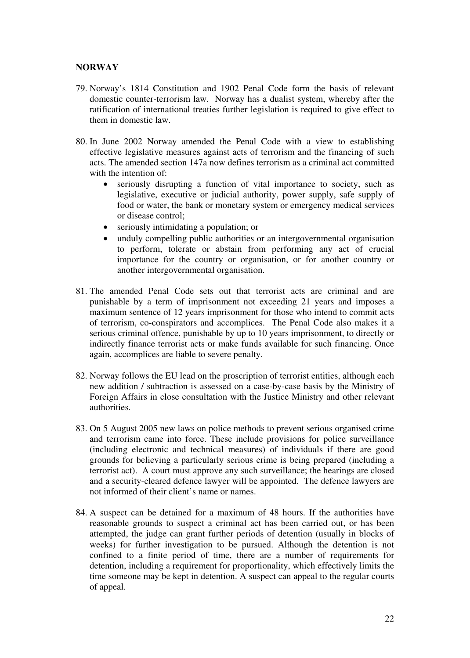## **NORWAY**

- 79. Norway's 1814 Constitution and 1902 Penal Code form the basis of relevant domestic counter-terrorism law. Norway has a dualist system, whereby after the ratification of international treaties further legislation is required to give effect to them in domestic law.
- 80. In June 2002 Norway amended the Penal Code with a view to establishing effective legislative measures against acts of terrorism and the financing of such acts. The amended section 147a now defines terrorism as a criminal act committed with the intention of:
	- seriously disrupting a function of vital importance to society, such as legislative, executive or judicial authority, power supply, safe supply of food or water, the bank or monetary system or emergency medical services or disease control;
	- seriously intimidating a population; or
	- unduly compelling public authorities or an intergovernmental organisation to perform, tolerate or abstain from performing any act of crucial importance for the country or organisation, or for another country or another intergovernmental organisation.
- 81. The amended Penal Code sets out that terrorist acts are criminal and are punishable by a term of imprisonment not exceeding 21 years and imposes a maximum sentence of 12 years imprisonment for those who intend to commit acts of terrorism, co-conspirators and accomplices. The Penal Code also makes it a serious criminal offence, punishable by up to 10 years imprisonment, to directly or indirectly finance terrorist acts or make funds available for such financing. Once again, accomplices are liable to severe penalty.
- 82. Norway follows the EU lead on the proscription of terrorist entities, although each new addition / subtraction is assessed on a case-by-case basis by the Ministry of Foreign Affairs in close consultation with the Justice Ministry and other relevant authorities.
- 83. On 5 August 2005 new laws on police methods to prevent serious organised crime and terrorism came into force. These include provisions for police surveillance (including electronic and technical measures) of individuals if there are good grounds for believing a particularly serious crime is being prepared (including a terrorist act). A court must approve any such surveillance; the hearings are closed and a security-cleared defence lawyer will be appointed. The defence lawyers are not informed of their client's name or names.
- 84. A suspect can be detained for a maximum of 48 hours. If the authorities have reasonable grounds to suspect a criminal act has been carried out, or has been attempted, the judge can grant further periods of detention (usually in blocks of weeks) for further investigation to be pursued. Although the detention is not confined to a finite period of time, there are a number of requirements for detention, including a requirement for proportionality, which effectively limits the time someone may be kept in detention. A suspect can appeal to the regular courts of appeal.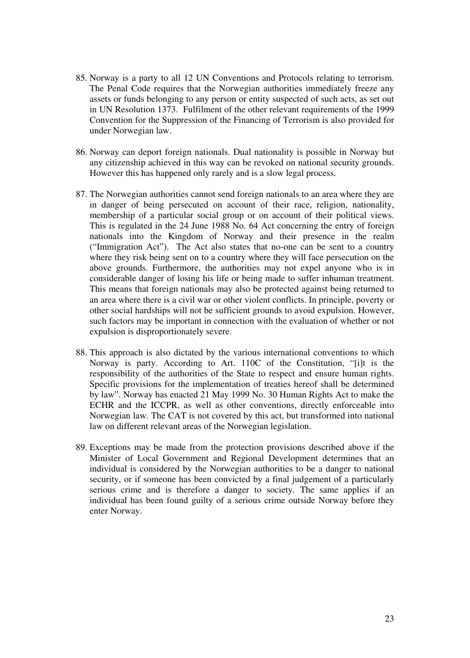- 85. Norway is a party to all 12 UN Conventions and Protocols relating to terrorism. The Penal Code requires that the Norwegian authorities immediately freeze any assets or funds belonging to any person or entity suspected of such acts, as set out in UN Resolution 1373. Fulfilment of the other relevant requirements of the 1999 Convention for the Suppression of the Financing of Terrorism is also provided for under Norwegian law.
- 86. Norway can deport foreign nationals. Dual nationality is possible in Norway but any citizenship achieved in this way can be revoked on national security grounds. However this has happened only rarely and is a slow legal process.
- 87. The Norwegian authorities cannot send foreign nationals to an area where they are in danger of being persecuted on account of their race, religion, nationality, membership of a particular social group or on account of their political views. This is regulated in the 24 June 1988 No. 64 Act concerning the entry of foreign nationals into the Kingdom of Norway and their presence in the realm ("Immigration Act"). The Act also states that no-one can be sent to a country where they risk being sent on to a country where they will face persecution on the above grounds. Furthermore, the authorities may not expel anyone who is in considerable danger of losing his life or being made to suffer inhuman treatment. This means that foreign nationals may also be protected against being returned to an area where there is a civil war or other violent conflicts. In principle, poverty or other social hardships will not be sufficient grounds to avoid expulsion. However, such factors may be important in connection with the evaluation of whether or not expulsion is disproportionately severe.
- 88. This approach is also dictated by the various international conventions to which Norway is party. According to Art. 110C of the Constitution, "[i]t is the responsibility of the authorities of the State to respect and ensure human rights. Specific provisions for the implementation of treaties hereof shall be determined by law". Norway has enacted 21 May 1999 No. 30 Human Rights Act to make the ECHR and the ICCPR, as well as other conventions, directly enforceable into Norwegian law. The CAT is not covered by this act, but transformed into national law on different relevant areas of the Norwegian legislation.
- 89. Exceptions may be made from the protection provisions described above if the Minister of Local Government and Regional Development determines that an individual is considered by the Norwegian authorities to be a danger to national security, or if someone has been convicted by a final judgement of a particularly serious crime and is therefore a danger to society. The same applies if an individual has been found guilty of a serious crime outside Norway before they enter Norway.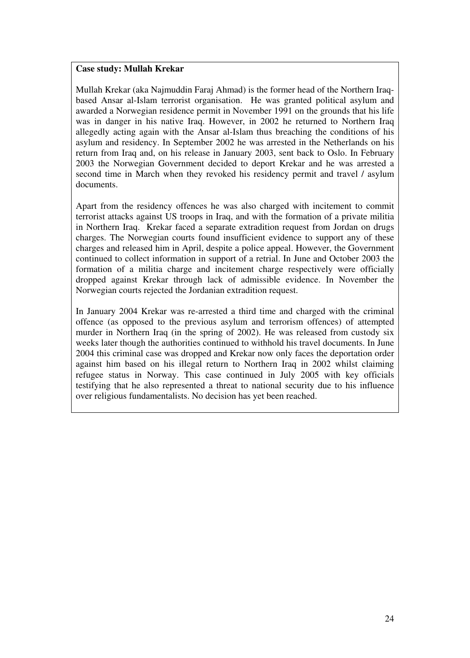### **Case study: Mullah Krekar**

Mullah Krekar (aka Najmuddin Faraj Ahmad) is the former head of the Northern Iraqbased Ansar al-Islam terrorist organisation. He was granted political asylum and awarded a Norwegian residence permit in November 1991 on the grounds that his life was in danger in his native Iraq. However, in 2002 he returned to Northern Iraq allegedly acting again with the Ansar al-Islam thus breaching the conditions of his asylum and residency. In September 2002 he was arrested in the Netherlands on his return from Iraq and, on his release in January 2003, sent back to Oslo. In February 2003 the Norwegian Government decided to deport Krekar and he was arrested a second time in March when they revoked his residency permit and travel / asylum documents.

Apart from the residency offences he was also charged with incitement to commit terrorist attacks against US troops in Iraq, and with the formation of a private militia in Northern Iraq. Krekar faced a separate extradition request from Jordan on drugs charges. The Norwegian courts found insufficient evidence to support any of these charges and released him in April, despite a police appeal. However, the Government continued to collect information in support of a retrial. In June and October 2003 the formation of a militia charge and incitement charge respectively were officially dropped against Krekar through lack of admissible evidence. In November the Norwegian courts rejected the Jordanian extradition request.

In January 2004 Krekar was re-arrested a third time and charged with the criminal offence (as opposed to the previous asylum and terrorism offences) of attempted murder in Northern Iraq (in the spring of 2002). He was released from custody six weeks later though the authorities continued to withhold his travel documents. In June 2004 this criminal case was dropped and Krekar now only faces the deportation order against him based on his illegal return to Northern Iraq in 2002 whilst claiming refugee status in Norway. This case continued in July 2005 with key officials testifying that he also represented a threat to national security due to his influence over religious fundamentalists. No decision has yet been reached.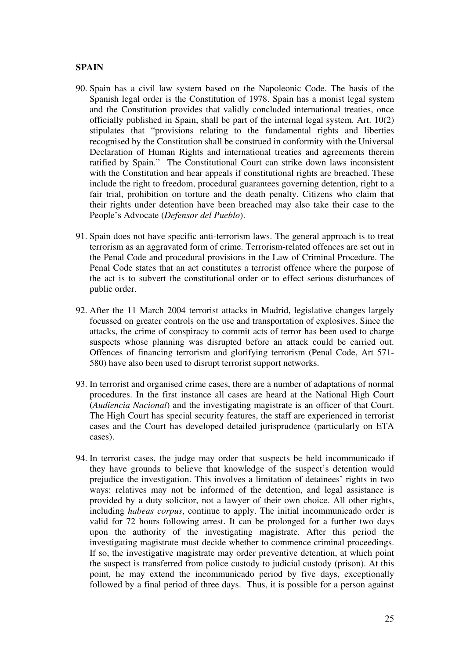### **SPAIN**

- 90. Spain has a civil law system based on the Napoleonic Code. The basis of the Spanish legal order is the Constitution of 1978. Spain has a monist legal system and the Constitution provides that validly concluded international treaties, once officially published in Spain, shall be part of the internal legal system. Art. 10(2) stipulates that "provisions relating to the fundamental rights and liberties recognised by the Constitution shall be construed in conformity with the Universal Declaration of Human Rights and international treaties and agreements therein ratified by Spain." The Constitutional Court can strike down laws inconsistent with the Constitution and hear appeals if constitutional rights are breached. These include the right to freedom, procedural guarantees governing detention, right to a fair trial, prohibition on torture and the death penalty. Citizens who claim that their rights under detention have been breached may also take their case to the People's Advocate (*Defensor del Pueblo*).
- 91. Spain does not have specific anti-terrorism laws. The general approach is to treat terrorism as an aggravated form of crime. Terrorism-related offences are set out in the Penal Code and procedural provisions in the Law of Criminal Procedure. The Penal Code states that an act constitutes a terrorist offence where the purpose of the act is to subvert the constitutional order or to effect serious disturbances of public order.
- 92. After the 11 March 2004 terrorist attacks in Madrid, legislative changes largely focussed on greater controls on the use and transportation of explosives. Since the attacks, the crime of conspiracy to commit acts of terror has been used to charge suspects whose planning was disrupted before an attack could be carried out. Offences of financing terrorism and glorifying terrorism (Penal Code, Art 571- 580) have also been used to disrupt terrorist support networks.
- 93. In terrorist and organised crime cases, there are a number of adaptations of normal procedures. In the first instance all cases are heard at the National High Court (*Audiencia Nacional*) and the investigating magistrate is an officer of that Court. The High Court has special security features, the staff are experienced in terrorist cases and the Court has developed detailed jurisprudence (particularly on ETA cases).
- 94. In terrorist cases, the judge may order that suspects be held incommunicado if they have grounds to believe that knowledge of the suspect's detention would prejudice the investigation. This involves a limitation of detainees' rights in two ways: relatives may not be informed of the detention, and legal assistance is provided by a duty solicitor, not a lawyer of their own choice. All other rights, including *habeas corpus*, continue to apply. The initial incommunicado order is valid for 72 hours following arrest. It can be prolonged for a further two days upon the authority of the investigating magistrate. After this period the investigating magistrate must decide whether to commence criminal proceedings. If so, the investigative magistrate may order preventive detention, at which point the suspect is transferred from police custody to judicial custody (prison). At this point, he may extend the incommunicado period by five days, exceptionally followed by a final period of three days. Thus, it is possible for a person against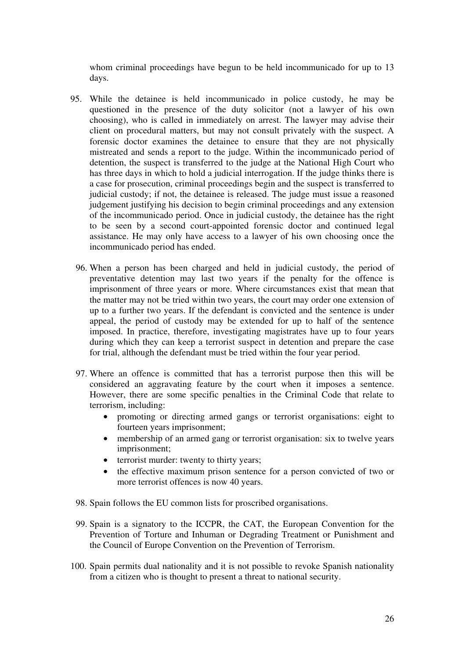whom criminal proceedings have begun to be held incommunicado for up to 13 days.

- 95. While the detainee is held incommunicado in police custody, he may be questioned in the presence of the duty solicitor (not a lawyer of his own choosing), who is called in immediately on arrest. The lawyer may advise their client on procedural matters, but may not consult privately with the suspect. A forensic doctor examines the detainee to ensure that they are not physically mistreated and sends a report to the judge. Within the incommunicado period of detention, the suspect is transferred to the judge at the National High Court who has three days in which to hold a judicial interrogation. If the judge thinks there is a case for prosecution, criminal proceedings begin and the suspect is transferred to judicial custody; if not, the detainee is released. The judge must issue a reasoned judgement justifying his decision to begin criminal proceedings and any extension of the incommunicado period. Once in judicial custody, the detainee has the right to be seen by a second court-appointed forensic doctor and continued legal assistance. He may only have access to a lawyer of his own choosing once the incommunicado period has ended.
	- 96. When a person has been charged and held in judicial custody, the period of preventative detention may last two years if the penalty for the offence is imprisonment of three years or more. Where circumstances exist that mean that the matter may not be tried within two years, the court may order one extension of up to a further two years. If the defendant is convicted and the sentence is under appeal, the period of custody may be extended for up to half of the sentence imposed. In practice, therefore, investigating magistrates have up to four years during which they can keep a terrorist suspect in detention and prepare the case for trial, although the defendant must be tried within the four year period.
	- 97. Where an offence is committed that has a terrorist purpose then this will be considered an aggravating feature by the court when it imposes a sentence. However, there are some specific penalties in the Criminal Code that relate to terrorism, including:
		- promoting or directing armed gangs or terrorist organisations: eight to fourteen years imprisonment;
		- membership of an armed gang or terrorist organisation: six to twelve years imprisonment;
		- terrorist murder: twenty to thirty years;
		- the effective maximum prison sentence for a person convicted of two or more terrorist offences is now 40 years.
	- 98. Spain follows the EU common lists for proscribed organisations.
	- 99. Spain is a signatory to the ICCPR, the CAT, the European Convention for the Prevention of Torture and Inhuman or Degrading Treatment or Punishment and the Council of Europe Convention on the Prevention of Terrorism.
- 100. Spain permits dual nationality and it is not possible to revoke Spanish nationality from a citizen who is thought to present a threat to national security.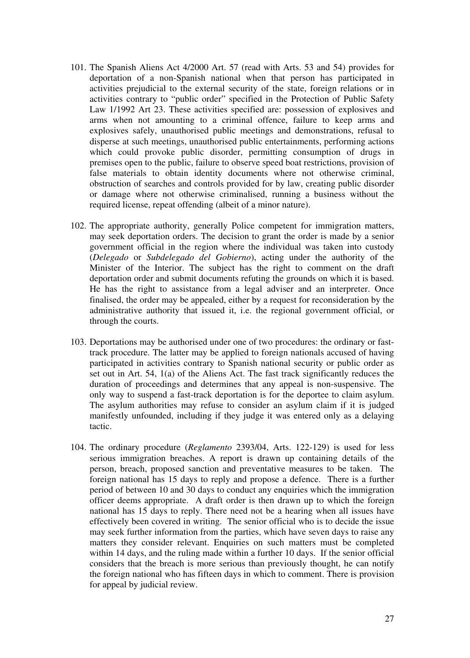- 101. The Spanish Aliens Act 4/2000 Art. 57 (read with Arts. 53 and 54) provides for deportation of a non-Spanish national when that person has participated in activities prejudicial to the external security of the state, foreign relations or in activities contrary to "public order" specified in the Protection of Public Safety Law 1/1992 Art 23. These activities specified are: possession of explosives and arms when not amounting to a criminal offence, failure to keep arms and explosives safely, unauthorised public meetings and demonstrations, refusal to disperse at such meetings, unauthorised public entertainments, performing actions which could provoke public disorder, permitting consumption of drugs in premises open to the public, failure to observe speed boat restrictions, provision of false materials to obtain identity documents where not otherwise criminal, obstruction of searches and controls provided for by law, creating public disorder or damage where not otherwise criminalised, running a business without the required license, repeat offending (albeit of a minor nature).
- 102. The appropriate authority, generally Police competent for immigration matters, may seek deportation orders. The decision to grant the order is made by a senior government official in the region where the individual was taken into custody (*Delegado* or *Subdelegado del Gobierno*), acting under the authority of the Minister of the Interior. The subject has the right to comment on the draft deportation order and submit documents refuting the grounds on which it is based. He has the right to assistance from a legal adviser and an interpreter. Once finalised, the order may be appealed, either by a request for reconsideration by the administrative authority that issued it, i.e. the regional government official, or through the courts.
- 103. Deportations may be authorised under one of two procedures: the ordinary or fasttrack procedure. The latter may be applied to foreign nationals accused of having participated in activities contrary to Spanish national security or public order as set out in Art. 54, 1(a) of the Aliens Act. The fast track significantly reduces the duration of proceedings and determines that any appeal is non-suspensive. The only way to suspend a fast-track deportation is for the deportee to claim asylum. The asylum authorities may refuse to consider an asylum claim if it is judged manifestly unfounded, including if they judge it was entered only as a delaying tactic.
- 104. The ordinary procedure (*Reglamento* 2393/04, Arts. 122-129) is used for less serious immigration breaches. A report is drawn up containing details of the person, breach, proposed sanction and preventative measures to be taken. The foreign national has 15 days to reply and propose a defence. There is a further period of between 10 and 30 days to conduct any enquiries which the immigration officer deems appropriate. A draft order is then drawn up to which the foreign national has 15 days to reply. There need not be a hearing when all issues have effectively been covered in writing. The senior official who is to decide the issue may seek further information from the parties, which have seven days to raise any matters they consider relevant. Enquiries on such matters must be completed within 14 days, and the ruling made within a further 10 days. If the senior official considers that the breach is more serious than previously thought, he can notify the foreign national who has fifteen days in which to comment. There is provision for appeal by judicial review.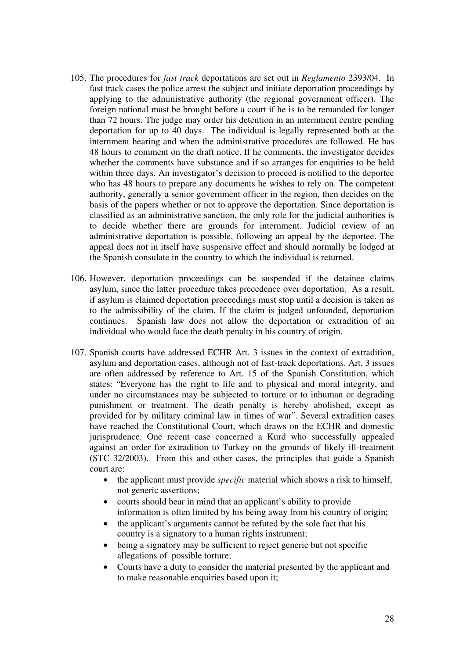- 105. The procedures for *fast track* deportations are set out in *Reglamento* 2393/04. In fast track cases the police arrest the subject and initiate deportation proceedings by applying to the administrative authority (the regional government officer). The foreign national must be brought before a court if he is to be remanded for longer than 72 hours. The judge may order his detention in an internment centre pending deportation for up to 40 days. The individual is legally represented both at the internment hearing and when the administrative procedures are followed. He has 48 hours to comment on the draft notice. If he comments, the investigator decides whether the comments have substance and if so arranges for enquiries to be held within three days. An investigator's decision to proceed is notified to the deportee who has 48 hours to prepare any documents he wishes to rely on. The competent authority, generally a senior government officer in the region, then decides on the basis of the papers whether or not to approve the deportation. Since deportation is classified as an administrative sanction, the only role for the judicial authorities is to decide whether there are grounds for internment. Judicial review of an administrative deportation is possible, following an appeal by the deportee. The appeal does not in itself have suspensive effect and should normally be lodged at the Spanish consulate in the country to which the individual is returned.
- 106. However, deportation proceedings can be suspended if the detainee claims asylum, since the latter procedure takes precedence over deportation. As a result, if asylum is claimed deportation proceedings must stop until a decision is taken as to the admissibility of the claim. If the claim is judged unfounded, deportation continues. Spanish law does not allow the deportation or extradition of an individual who would face the death penalty in his country of origin.
- 107. Spanish courts have addressed ECHR Art. 3 issues in the context of extradition, asylum and deportation cases, although not of fast-track deportations. Art. 3 issues are often addressed by reference to Art. 15 of the Spanish Constitution, which states: "Everyone has the right to life and to physical and moral integrity, and under no circumstances may be subjected to torture or to inhuman or degrading punishment or treatment. The death penalty is hereby abolished, except as provided for by military criminal law in times of war". Several extradition cases have reached the Constitutional Court, which draws on the ECHR and domestic jurisprudence. One recent case concerned a Kurd who successfully appealed against an order for extradition to Turkey on the grounds of likely ill-treatment (STC 32/2003). From this and other cases, the principles that guide a Spanish court are:
	- the applicant must provide *specific* material which shows a risk to himself, not generic assertions;
	- courts should bear in mind that an applicant's ability to provide information is often limited by his being away from his country of origin;
	- the applicant's arguments cannot be refuted by the sole fact that his country is a signatory to a human rights instrument;
	- being a signatory may be sufficient to reject generic but not specific allegations of possible torture;
	- Courts have a duty to consider the material presented by the applicant and to make reasonable enquiries based upon it;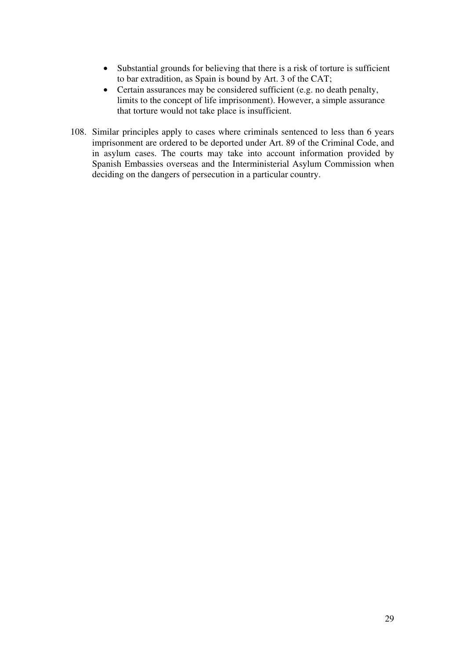- Substantial grounds for believing that there is a risk of torture is sufficient to bar extradition, as Spain is bound by Art. 3 of the CAT;
- Certain assurances may be considered sufficient (e.g. no death penalty, limits to the concept of life imprisonment). However, a simple assurance that torture would not take place is insufficient.
- 108. Similar principles apply to cases where criminals sentenced to less than 6 years imprisonment are ordered to be deported under Art. 89 of the Criminal Code, and in asylum cases. The courts may take into account information provided by Spanish Embassies overseas and the Interministerial Asylum Commission when deciding on the dangers of persecution in a particular country.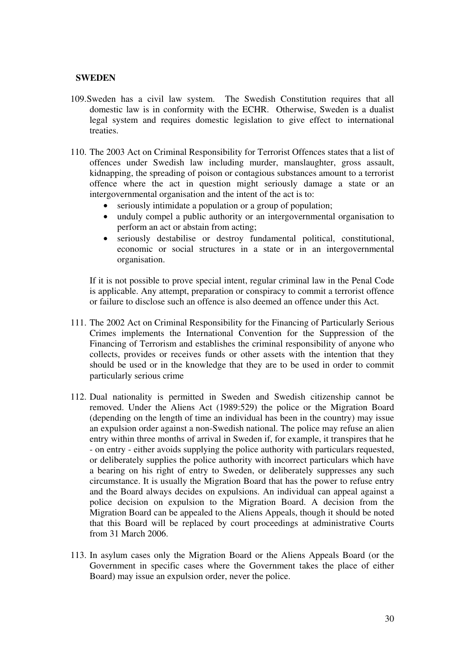### **SWEDEN**

- 109. Sweden has a civil law system. The Swedish Constitution requires that all domestic law is in conformity with the ECHR. Otherwise, Sweden is a dualist legal system and requires domestic legislation to give effect to international treaties.
- 110. The 2003 Act on Criminal Responsibility for Terrorist Offences states that a list of offences under Swedish law including murder, manslaughter, gross assault, kidnapping, the spreading of poison or contagious substances amount to a terrorist offence where the act in question might seriously damage a state or an intergovernmental organisation and the intent of the act is to:
	- seriously intimidate a population or a group of population;
	- unduly compel a public authority or an intergovernmental organisation to perform an act or abstain from acting;
	- seriously destabilise or destroy fundamental political, constitutional, economic or social structures in a state or in an intergovernmental organisation.

If it is not possible to prove special intent, regular criminal law in the Penal Code is applicable. Any attempt, preparation or conspiracy to commit a terrorist offence or failure to disclose such an offence is also deemed an offence under this Act.

- 111. The 2002 Act on Criminal Responsibility for the Financing of Particularly Serious Crimes implements the International Convention for the Suppression of the Financing of Terrorism and establishes the criminal responsibility of anyone who collects, provides or receives funds or other assets with the intention that they should be used or in the knowledge that they are to be used in order to commit particularly serious crime
- 112. Dual nationality is permitted in Sweden and Swedish citizenship cannot be removed. Under the Aliens Act (1989:529) the police or the Migration Board (depending on the length of time an individual has been in the country) may issue an expulsion order against a non-Swedish national. The police may refuse an alien entry within three months of arrival in Sweden if, for example, it transpires that he - on entry - either avoids supplying the police authority with particulars requested, or deliberately supplies the police authority with incorrect particulars which have a bearing on his right of entry to Sweden, or deliberately suppresses any such circumstance. It is usually the Migration Board that has the power to refuse entry and the Board always decides on expulsions. An individual can appeal against a police decision on expulsion to the Migration Board. A decision from the Migration Board can be appealed to the Aliens Appeals, though it should be noted that this Board will be replaced by court proceedings at administrative Courts from 31 March 2006.
- 113. In asylum cases only the Migration Board or the Aliens Appeals Board (or the Government in specific cases where the Government takes the place of either Board) may issue an expulsion order, never the police.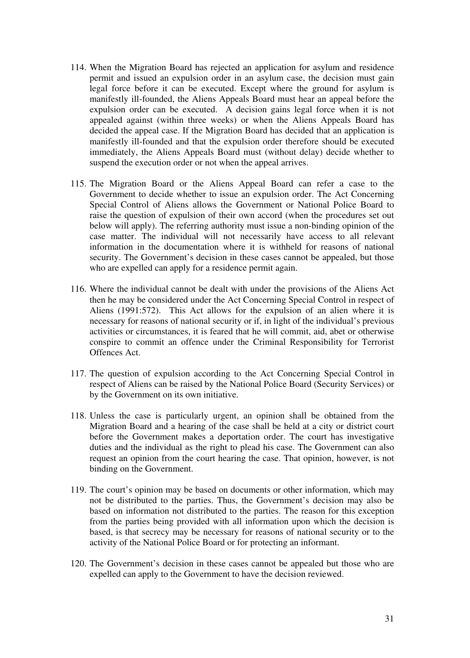- 114. When the Migration Board has rejected an application for asylum and residence permit and issued an expulsion order in an asylum case, the decision must gain legal force before it can be executed. Except where the ground for asylum is manifestly ill-founded, the Aliens Appeals Board must hear an appeal before the expulsion order can be executed. A decision gains legal force when it is not appealed against (within three weeks) or when the Aliens Appeals Board has decided the appeal case. If the Migration Board has decided that an application is manifestly ill-founded and that the expulsion order therefore should be executed immediately, the Aliens Appeals Board must (without delay) decide whether to suspend the execution order or not when the appeal arrives.
- 115. The Migration Board or the Aliens Appeal Board can refer a case to the Government to decide whether to issue an expulsion order. The Act Concerning Special Control of Aliens allows the Government or National Police Board to raise the question of expulsion of their own accord (when the procedures set out below will apply). The referring authority must issue a non-binding opinion of the case matter. The individual will not necessarily have access to all relevant information in the documentation where it is withheld for reasons of national security. The Government's decision in these cases cannot be appealed, but those who are expelled can apply for a residence permit again.
- 116. Where the individual cannot be dealt with under the provisions of the Aliens Act then he may be considered under the Act Concerning Special Control in respect of Aliens (1991:572). This Act allows for the expulsion of an alien where it is necessary for reasons of national security or if, in light of the individual's previous activities or circumstances, it is feared that he will commit, aid, abet or otherwise conspire to commit an offence under the Criminal Responsibility for Terrorist Offences Act.
- 117. The question of expulsion according to the Act Concerning Special Control in respect of Aliens can be raised by the National Police Board (Security Services) or by the Government on its own initiative.
- 118. Unless the case is particularly urgent, an opinion shall be obtained from the Migration Board and a hearing of the case shall be held at a city or district court before the Government makes a deportation order. The court has investigative duties and the individual as the right to plead his case. The Government can also request an opinion from the court hearing the case. That opinion, however, is not binding on the Government.
- 119. The court's opinion may be based on documents or other information, which may not be distributed to the parties. Thus, the Government's decision may also be based on information not distributed to the parties. The reason for this exception from the parties being provided with all information upon which the decision is based, is that secrecy may be necessary for reasons of national security or to the activity of the National Police Board or for protecting an informant.
- 120. The Government's decision in these cases cannot be appealed but those who are expelled can apply to the Government to have the decision reviewed.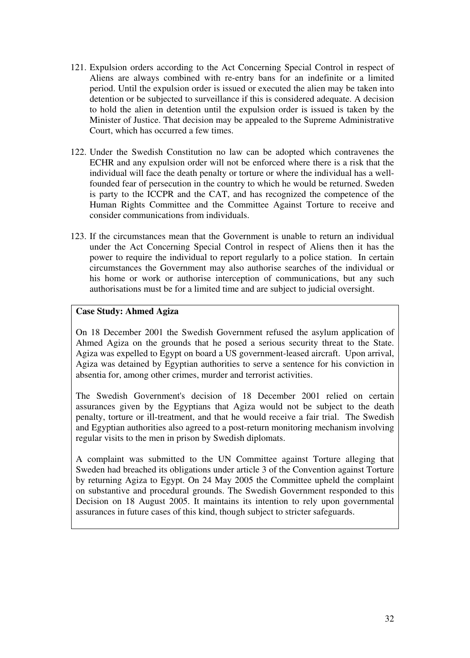- 121. Expulsion orders according to the Act Concerning Special Control in respect of Aliens are always combined with re-entry bans for an indefinite or a limited period. Until the expulsion order is issued or executed the alien may be taken into detention or be subjected to surveillance if this is considered adequate. A decision to hold the alien in detention until the expulsion order is issued is taken by the Minister of Justice. That decision may be appealed to the Supreme Administrative Court, which has occurred a few times.
- 122. Under the Swedish Constitution no law can be adopted which contravenes the ECHR and any expulsion order will not be enforced where there is a risk that the individual will face the death penalty or torture or where the individual has a wellfounded fear of persecution in the country to which he would be returned. Sweden is party to the ICCPR and the CAT, and has recognized the competence of the Human Rights Committee and the Committee Against Torture to receive and consider communications from individuals.
- 123. If the circumstances mean that the Government is unable to return an individual under the Act Concerning Special Control in respect of Aliens then it has the power to require the individual to report regularly to a police station. In certain circumstances the Government may also authorise searches of the individual or his home or work or authorise interception of communications, but any such authorisations must be for a limited time and are subject to judicial oversight.

### **Case Study: Ahmed Agiza**

On 18 December 2001 the Swedish Government refused the asylum application of Ahmed Agiza on the grounds that he posed a serious security threat to the State. Agiza was expelled to Egypt on board a US government-leased aircraft. Upon arrival, Agiza was detained by Egyptian authorities to serve a sentence for his conviction in absentia for, among other crimes, murder and terrorist activities.

The Swedish Government's decision of 18 December 2001 relied on certain assurances given by the Egyptians that Agiza would not be subject to the death penalty, torture or ill-treatment, and that he would receive a fair trial. The Swedish and Egyptian authorities also agreed to a post-return monitoring mechanism involving regular visits to the men in prison by Swedish diplomats.

A complaint was submitted to the UN Committee against Torture alleging that Sweden had breached its obligations under article 3 of the Convention against Torture by returning Agiza to Egypt. On 24 May 2005 the Committee upheld the complaint on substantive and procedural grounds. The Swedish Government responded to this Decision on 18 August 2005. It maintains its intention to rely upon governmental assurances in future cases of this kind, though subject to stricter safeguards.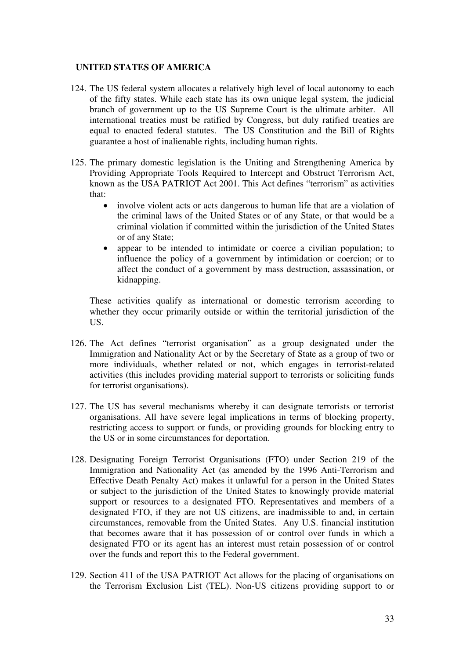### **UNITED STATES OF AMERICA**

- 124. The US federal system allocates a relatively high level of local autonomy to each of the fifty states. While each state has its own unique legal system, the judicial branch of government up to the US Supreme Court is the ultimate arbiter. All international treaties must be ratified by Congress, but duly ratified treaties are equal to enacted federal statutes. The US Constitution and the Bill of Rights guarantee a host of inalienable rights, including human rights.
- 125. The primary domestic legislation is the Uniting and Strengthening America by Providing Appropriate Tools Required to Intercept and Obstruct Terrorism Act, known as the USA PATRIOT Act 2001. This Act defines "terrorism" as activities that:
	- involve violent acts or acts dangerous to human life that are a violation of the criminal laws of the United States or of any State, or that would be a criminal violation if committed within the jurisdiction of the United States or of any State;
	- appear to be intended to intimidate or coerce a civilian population; to influence the policy of a government by intimidation or coercion; or to affect the conduct of a government by mass destruction, assassination, or kidnapping.

These activities qualify as international or domestic terrorism according to whether they occur primarily outside or within the territorial jurisdiction of the US.

- 126. The Act defines "terrorist organisation" as a group designated under the Immigration and Nationality Act or by the Secretary of State as a group of two or more individuals, whether related or not, which engages in terrorist-related activities (this includes providing material support to terrorists or soliciting funds for terrorist organisations).
- 127. The US has several mechanisms whereby it can designate terrorists or terrorist organisations. All have severe legal implications in terms of blocking property, restricting access to support or funds, or providing grounds for blocking entry to the US or in some circumstances for deportation.
- 128. Designating Foreign Terrorist Organisations (FTO) under Section 219 of the Immigration and Nationality Act (as amended by the 1996 Anti-Terrorism and Effective Death Penalty Act) makes it unlawful for a person in the United States or subject to the jurisdiction of the United States to knowingly provide material support or resources to a designated FTO. Representatives and members of a designated FTO, if they are not US citizens, are inadmissible to and, in certain circumstances, removable from the United States. Any U.S. financial institution that becomes aware that it has possession of or control over funds in which a designated FTO or its agent has an interest must retain possession of or control over the funds and report this to the Federal government.
- 129. Section 411 of the USA PATRIOT Act allows for the placing of organisations on the Terrorism Exclusion List (TEL). Non-US citizens providing support to or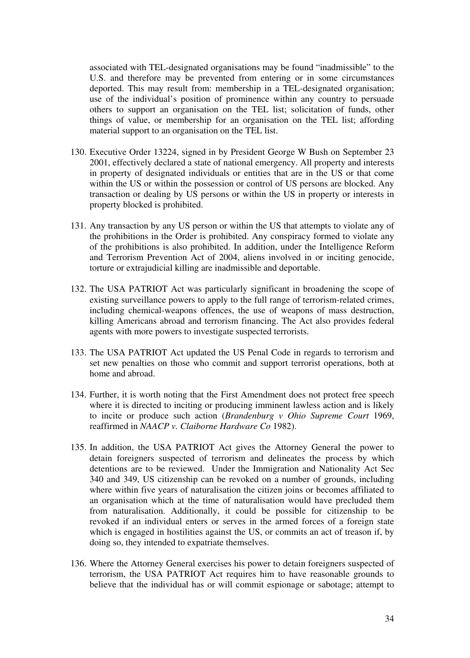associated with TEL-designated organisations may be found "inadmissible" to the U.S. and therefore may be prevented from entering or in some circumstances deported. This may result from: membership in a TEL-designated organisation; use of the individual's position of prominence within any country to persuade others to support an organisation on the TEL list; solicitation of funds, other things of value, or membership for an organisation on the TEL list; affording material support to an organisation on the TEL list.

- 130. Executive Order 13224, signed in by President George W Bush on September 23 2001, effectively declared a state of national emergency. All property and interests in property of designated individuals or entities that are in the US or that come within the US or within the possession or control of US persons are blocked. Any transaction or dealing by US persons or within the US in property or interests in property blocked is prohibited.
- 131. Any transaction by any US person or within the US that attempts to violate any of the prohibitions in the Order is prohibited. Any conspiracy formed to violate any of the prohibitions is also prohibited. In addition, under the Intelligence Reform and Terrorism Prevention Act of 2004, aliens involved in or inciting genocide, torture or extrajudicial killing are inadmissible and deportable.
- 132. The USA PATRIOT Act was particularly significant in broadening the scope of existing surveillance powers to apply to the full range of terrorism-related crimes, including chemical-weapons offences, the use of weapons of mass destruction, killing Americans abroad and terrorism financing. The Act also provides federal agents with more powers to investigate suspected terrorists.
- 133. The USA PATRIOT Act updated the US Penal Code in regards to terrorism and set new penalties on those who commit and support terrorist operations, both at home and abroad.
- 134. Further, it is worth noting that the First Amendment does not protect free speech where it is directed to inciting or producing imminent lawless action and is likely to incite or produce such action (*Brandenburg v Ohio Supreme Court* 1969, reaffirmed in *NAACP v. Claiborne Hardware Co* 1982).
- 135. In addition, the USA PATRIOT Act gives the Attorney General the power to detain foreigners suspected of terrorism and delineates the process by which detentions are to be reviewed. Under the Immigration and Nationality Act Sec 340 and 349, US citizenship can be revoked on a number of grounds, including where within five years of naturalisation the citizen joins or becomes affiliated to an organisation which at the time of naturalisation would have precluded them from naturalisation. Additionally, it could be possible for citizenship to be revoked if an individual enters or serves in the armed forces of a foreign state which is engaged in hostilities against the US, or commits an act of treason if, by doing so, they intended to expatriate themselves.
- 136. Where the Attorney General exercises his power to detain foreigners suspected of terrorism, the USA PATRIOT Act requires him to have reasonable grounds to believe that the individual has or will commit espionage or sabotage; attempt to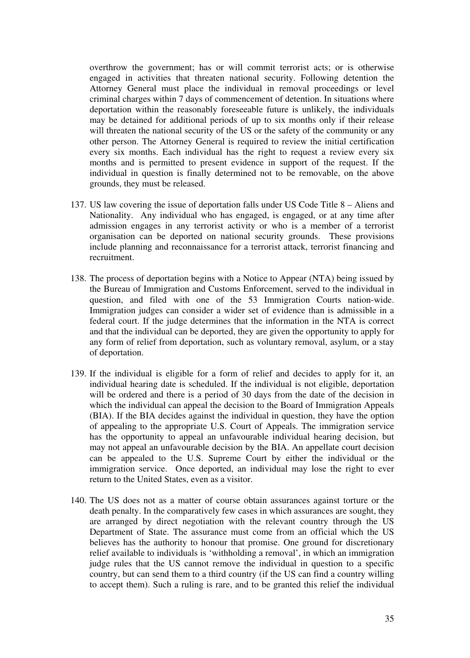overthrow the government; has or will commit terrorist acts; or is otherwise engaged in activities that threaten national security. Following detention the Attorney General must place the individual in removal proceedings or level criminal charges within 7 days of commencement of detention. In situations where deportation within the reasonably foreseeable future is unlikely, the individuals may be detained for additional periods of up to six months only if their release will threaten the national security of the US or the safety of the community or any other person. The Attorney General is required to review the initial certification every six months. Each individual has the right to request a review every six months and is permitted to present evidence in support of the request. If the individual in question is finally determined not to be removable, on the above grounds, they must be released.

- 137. US law covering the issue of deportation falls under US Code Title 8 Aliens and Nationality. Any individual who has engaged, is engaged, or at any time after admission engages in any terrorist activity or who is a member of a terrorist organisation can be deported on national security grounds. These provisions include planning and reconnaissance for a terrorist attack, terrorist financing and recruitment.
- 138. The process of deportation begins with a Notice to Appear (NTA) being issued by the Bureau of Immigration and Customs Enforcement, served to the individual in question, and filed with one of the 53 Immigration Courts nation-wide. Immigration judges can consider a wider set of evidence than is admissible in a federal court. If the judge determines that the information in the NTA is correct and that the individual can be deported, they are given the opportunity to apply for any form of relief from deportation, such as voluntary removal, asylum, or a stay of deportation.
- 139. If the individual is eligible for a form of relief and decides to apply for it, an individual hearing date is scheduled. If the individual is not eligible, deportation will be ordered and there is a period of 30 days from the date of the decision in which the individual can appeal the decision to the Board of Immigration Appeals (BIA). If the BIA decides against the individual in question, they have the option of appealing to the appropriate U.S. Court of Appeals. The immigration service has the opportunity to appeal an unfavourable individual hearing decision, but may not appeal an unfavourable decision by the BIA. An appellate court decision can be appealed to the U.S. Supreme Court by either the individual or the immigration service. Once deported, an individual may lose the right to ever return to the United States, even as a visitor.
- 140. The US does not as a matter of course obtain assurances against torture or the death penalty. In the comparatively few cases in which assurances are sought, they are arranged by direct negotiation with the relevant country through the US Department of State. The assurance must come from an official which the US believes has the authority to honour that promise. One ground for discretionary relief available to individuals is 'withholding a removal', in which an immigration judge rules that the US cannot remove the individual in question to a specific country, but can send them to a third country (if the US can find a country willing to accept them). Such a ruling is rare, and to be granted this relief the individual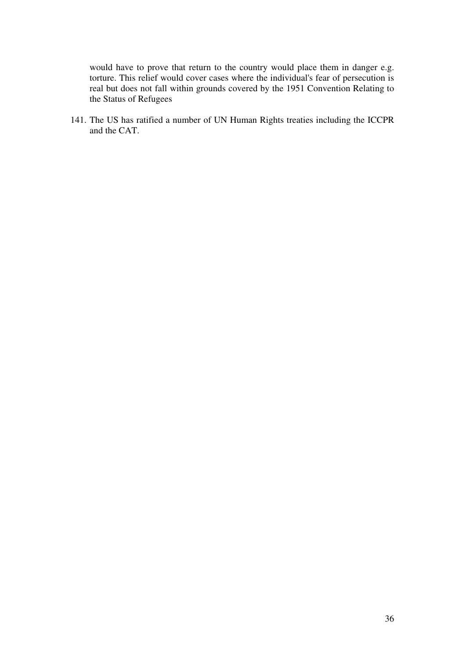would have to prove that return to the country would place them in danger e.g. torture. This relief would cover cases where the individual's fear of persecution is real but does not fall within grounds covered by the 1951 Convention Relating to the Status of Refugees

141. The US has ratified a number of UN Human Rights treaties including the ICCPR and the CAT.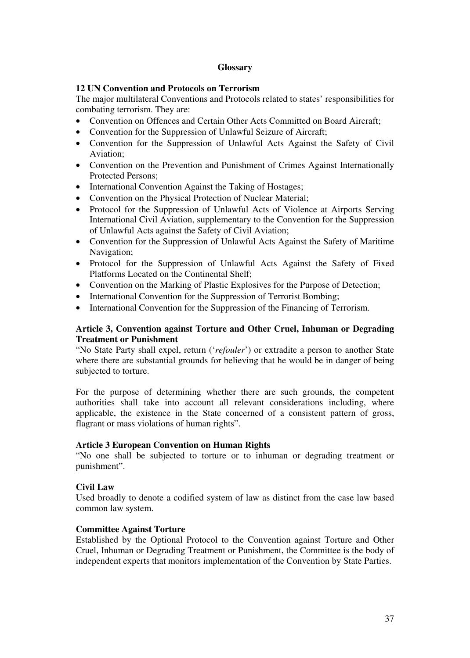### **Glossary**

### **12 UN Convention and Protocols on Terrorism**

The major multilateral Conventions and Protocols related to states' responsibilities for combating terrorism. They are:

- Convention on Offences and Certain Other Acts Committed on Board Aircraft;
- Convention for the Suppression of Unlawful Seizure of Aircraft;
- Convention for the Suppression of Unlawful Acts Against the Safety of Civil Aviation;
- Convention on the Prevention and Punishment of Crimes Against Internationally Protected Persons;
- International Convention Against the Taking of Hostages;
- Convention on the Physical Protection of Nuclear Material;
- Protocol for the Suppression of Unlawful Acts of Violence at Airports Serving International Civil Aviation, supplementary to the Convention for the Suppression of Unlawful Acts against the Safety of Civil Aviation;
- Convention for the Suppression of Unlawful Acts Against the Safety of Maritime Navigation;
- Protocol for the Suppression of Unlawful Acts Against the Safety of Fixed Platforms Located on the Continental Shelf;
- Convention on the Marking of Plastic Explosives for the Purpose of Detection;
- International Convention for the Suppression of Terrorist Bombing;
- International Convention for the Suppression of the Financing of Terrorism.

### **Article 3, Convention against Torture and Other Cruel, Inhuman or Degrading Treatment or Punishment**

"No State Party shall expel, return ('*refouler*') or extradite a person to another State where there are substantial grounds for believing that he would be in danger of being subjected to torture.

For the purpose of determining whether there are such grounds, the competent authorities shall take into account all relevant considerations including, where applicable, the existence in the State concerned of a consistent pattern of gross, flagrant or mass violations of human rights".

### **Article 3 European Convention on Human Rights**

"No one shall be subjected to torture or to inhuman or degrading treatment or punishment".

### **Civil Law**

Used broadly to denote a codified system of law as distinct from the case law based common law system.

### **Committee Against Torture**

Established by the Optional Protocol to the Convention against Torture and Other Cruel, Inhuman or Degrading Treatment or Punishment, the Committee is the body of independent experts that monitors implementation of the Convention by State Parties.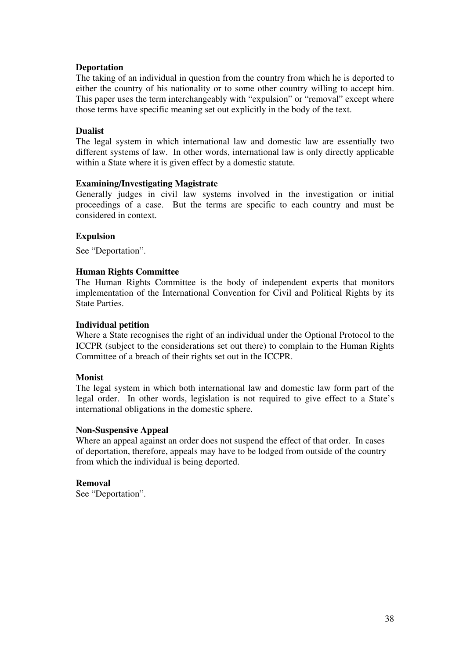### **Deportation**

The taking of an individual in question from the country from which he is deported to either the country of his nationality or to some other country willing to accept him. This paper uses the term interchangeably with "expulsion" or "removal" except where those terms have specific meaning set out explicitly in the body of the text.

### **Dualist**

The legal system in which international law and domestic law are essentially two different systems of law. In other words, international law is only directly applicable within a State where it is given effect by a domestic statute.

### **Examining/Investigating Magistrate**

Generally judges in civil law systems involved in the investigation or initial proceedings of a case. But the terms are specific to each country and must be considered in context.

### **Expulsion**

See "Deportation".

### **Human Rights Committee**

The Human Rights Committee is the body of independent experts that monitors implementation of the International Convention for Civil and Political Rights by its State Parties.

### **Individual petition**

Where a State recognises the right of an individual under the Optional Protocol to the ICCPR (subject to the considerations set out there) to complain to the Human Rights Committee of a breach of their rights set out in the ICCPR.

### **Monist**

The legal system in which both international law and domestic law form part of the legal order. In other words, legislation is not required to give effect to a State's international obligations in the domestic sphere.

### **Non-Suspensive Appeal**

Where an appeal against an order does not suspend the effect of that order. In cases of deportation, therefore, appeals may have to be lodged from outside of the country from which the individual is being deported.

### **Removal**

See "Deportation".